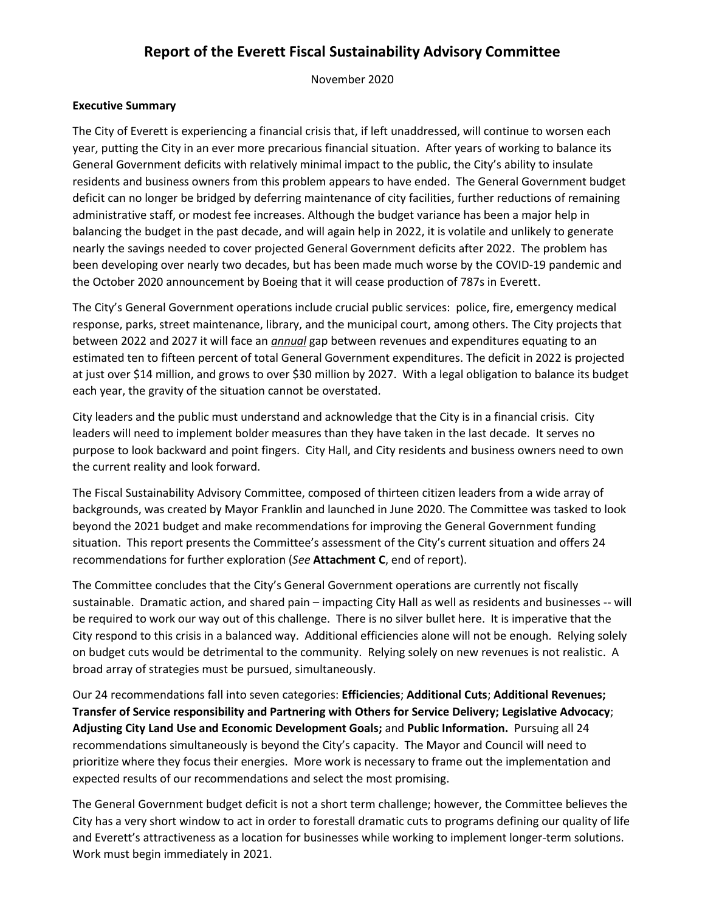## **Report of the Everett Fiscal Sustainability Advisory Committee**

November 2020

#### **Executive Summary**

The City of Everett is experiencing a financial crisis that, if left unaddressed, will continue to worsen each year, putting the City in an ever more precarious financial situation. After years of working to balance its General Government deficits with relatively minimal impact to the public, the City's ability to insulate residents and business owners from this problem appears to have ended. The General Government budget deficit can no longer be bridged by deferring maintenance of city facilities, further reductions of remaining administrative staff, or modest fee increases. Although the budget variance has been a major help in balancing the budget in the past decade, and will again help in 2022, it is volatile and unlikely to generate nearly the savings needed to cover projected General Government deficits after 2022. The problem has been developing over nearly two decades, but has been made much worse by the COVID-19 pandemic and the October 2020 announcement by Boeing that it will cease production of 787s in Everett.

The City's General Government operations include crucial public services: police, fire, emergency medical response, parks, street maintenance, library, and the municipal court, among others. The City projects that between 2022 and 2027 it will face an *annual* gap between revenues and expenditures equating to an estimated ten to fifteen percent of total General Government expenditures. The deficit in 2022 is projected at just over \$14 million, and grows to over \$30 million by 2027. With a legal obligation to balance its budget each year, the gravity of the situation cannot be overstated.

City leaders and the public must understand and acknowledge that the City is in a financial crisis. City leaders will need to implement bolder measures than they have taken in the last decade. It serves no purpose to look backward and point fingers. City Hall, and City residents and business owners need to own the current reality and look forward.

The Fiscal Sustainability Advisory Committee, composed of thirteen citizen leaders from a wide array of backgrounds, was created by Mayor Franklin and launched in June 2020. The Committee was tasked to look beyond the 2021 budget and make recommendations for improving the General Government funding situation. This report presents the Committee's assessment of the City's current situation and offers 24 recommendations for further exploration (*See* **Attachment C**, end of report).

The Committee concludes that the City's General Government operations are currently not fiscally sustainable. Dramatic action, and shared pain – impacting City Hall as well as residents and businesses -- will be required to work our way out of this challenge. There is no silver bullet here. It is imperative that the City respond to this crisis in a balanced way. Additional efficiencies alone will not be enough. Relying solely on budget cuts would be detrimental to the community. Relying solely on new revenues is not realistic. A broad array of strategies must be pursued, simultaneously.

Our 24 recommendations fall into seven categories: **Efficiencies**; **Additional Cuts**; **Additional Revenues; Transfer of Service responsibility and Partnering with Others for Service Delivery; Legislative Advocacy**; **Adjusting City Land Use and Economic Development Goals;** and **Public Information.** Pursuing all 24 recommendations simultaneously is beyond the City's capacity. The Mayor and Council will need to prioritize where they focus their energies. More work is necessary to frame out the implementation and expected results of our recommendations and select the most promising.

The General Government budget deficit is not a short term challenge; however, the Committee believes the City has a very short window to act in order to forestall dramatic cuts to programs defining our quality of life and Everett's attractiveness as a location for businesses while working to implement longer-term solutions. Work must begin immediately in 2021.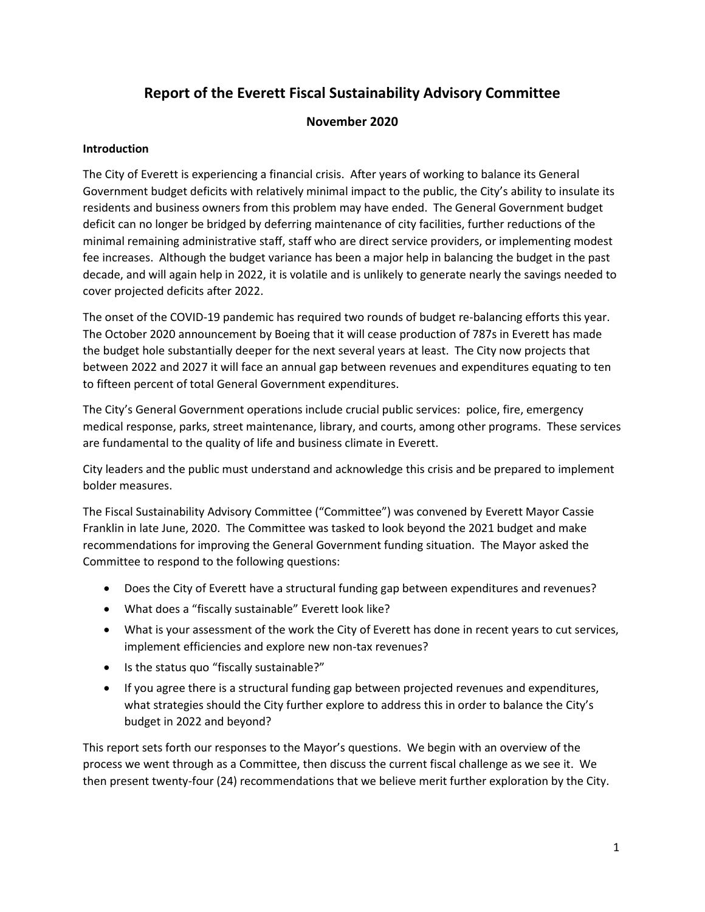## **Report of the Everett Fiscal Sustainability Advisory Committee**

## **November 2020**

### **Introduction**

The City of Everett is experiencing a financial crisis. After years of working to balance its General Government budget deficits with relatively minimal impact to the public, the City's ability to insulate its residents and business owners from this problem may have ended. The General Government budget deficit can no longer be bridged by deferring maintenance of city facilities, further reductions of the minimal remaining administrative staff, staff who are direct service providers, or implementing modest fee increases. Although the budget variance has been a major help in balancing the budget in the past decade, and will again help in 2022, it is volatile and is unlikely to generate nearly the savings needed to cover projected deficits after 2022.

The onset of the COVID-19 pandemic has required two rounds of budget re-balancing efforts this year. The October 2020 announcement by Boeing that it will cease production of 787s in Everett has made the budget hole substantially deeper for the next several years at least. The City now projects that between 2022 and 2027 it will face an annual gap between revenues and expenditures equating to ten to fifteen percent of total General Government expenditures.

The City's General Government operations include crucial public services: police, fire, emergency medical response, parks, street maintenance, library, and courts, among other programs. These services are fundamental to the quality of life and business climate in Everett.

City leaders and the public must understand and acknowledge this crisis and be prepared to implement bolder measures.

The Fiscal Sustainability Advisory Committee ("Committee") was convened by Everett Mayor Cassie Franklin in late June, 2020. The Committee was tasked to look beyond the 2021 budget and make recommendations for improving the General Government funding situation. The Mayor asked the Committee to respond to the following questions:

- Does the City of Everett have a structural funding gap between expenditures and revenues?
- What does a "fiscally sustainable" Everett look like?
- What is your assessment of the work the City of Everett has done in recent years to cut services, implement efficiencies and explore new non-tax revenues?
- Is the status quo "fiscally sustainable?"
- If you agree there is a structural funding gap between projected revenues and expenditures, what strategies should the City further explore to address this in order to balance the City's budget in 2022 and beyond?

This report sets forth our responses to the Mayor's questions. We begin with an overview of the process we went through as a Committee, then discuss the current fiscal challenge as we see it. We then present twenty-four (24) recommendations that we believe merit further exploration by the City.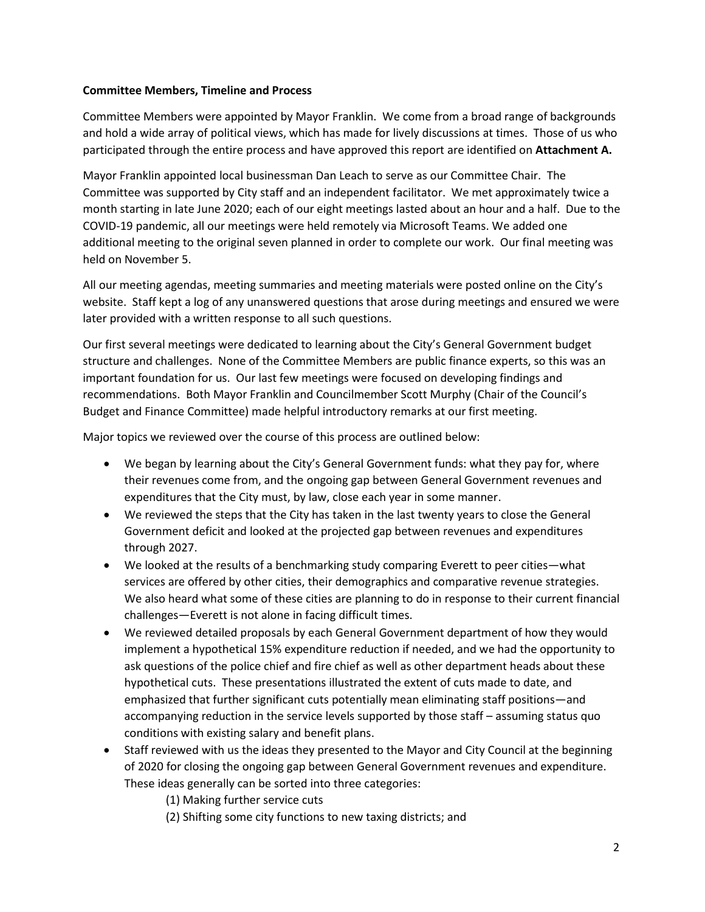#### **Committee Members, Timeline and Process**

Committee Members were appointed by Mayor Franklin. We come from a broad range of backgrounds and hold a wide array of political views, which has made for lively discussions at times. Those of us who participated through the entire process and have approved this report are identified on **Attachment A.** 

Mayor Franklin appointed local businessman Dan Leach to serve as our Committee Chair. The Committee was supported by City staff and an independent facilitator. We met approximately twice a month starting in late June 2020; each of our eight meetings lasted about an hour and a half. Due to the COVID-19 pandemic, all our meetings were held remotely via Microsoft Teams. We added one additional meeting to the original seven planned in order to complete our work. Our final meeting was held on November 5.

All our meeting agendas, meeting summaries and meeting materials were posted online on the City's website. Staff kept a log of any unanswered questions that arose during meetings and ensured we were later provided with a written response to all such questions.

Our first several meetings were dedicated to learning about the City's General Government budget structure and challenges. None of the Committee Members are public finance experts, so this was an important foundation for us. Our last few meetings were focused on developing findings and recommendations. Both Mayor Franklin and Councilmember Scott Murphy (Chair of the Council's Budget and Finance Committee) made helpful introductory remarks at our first meeting.

Major topics we reviewed over the course of this process are outlined below:

- We began by learning about the City's General Government funds: what they pay for, where their revenues come from, and the ongoing gap between General Government revenues and expenditures that the City must, by law, close each year in some manner.
- We reviewed the steps that the City has taken in the last twenty years to close the General Government deficit and looked at the projected gap between revenues and expenditures through 2027.
- We looked at the results of a benchmarking study comparing Everett to peer cities—what services are offered by other cities, their demographics and comparative revenue strategies. We also heard what some of these cities are planning to do in response to their current financial challenges—Everett is not alone in facing difficult times.
- We reviewed detailed proposals by each General Government department of how they would implement a hypothetical 15% expenditure reduction if needed, and we had the opportunity to ask questions of the police chief and fire chief as well as other department heads about these hypothetical cuts. These presentations illustrated the extent of cuts made to date, and emphasized that further significant cuts potentially mean eliminating staff positions—and accompanying reduction in the service levels supported by those staff – assuming status quo conditions with existing salary and benefit plans.
- Staff reviewed with us the ideas they presented to the Mayor and City Council at the beginning of 2020 for closing the ongoing gap between General Government revenues and expenditure. These ideas generally can be sorted into three categories:
	- (1) Making further service cuts
	- (2) Shifting some city functions to new taxing districts; and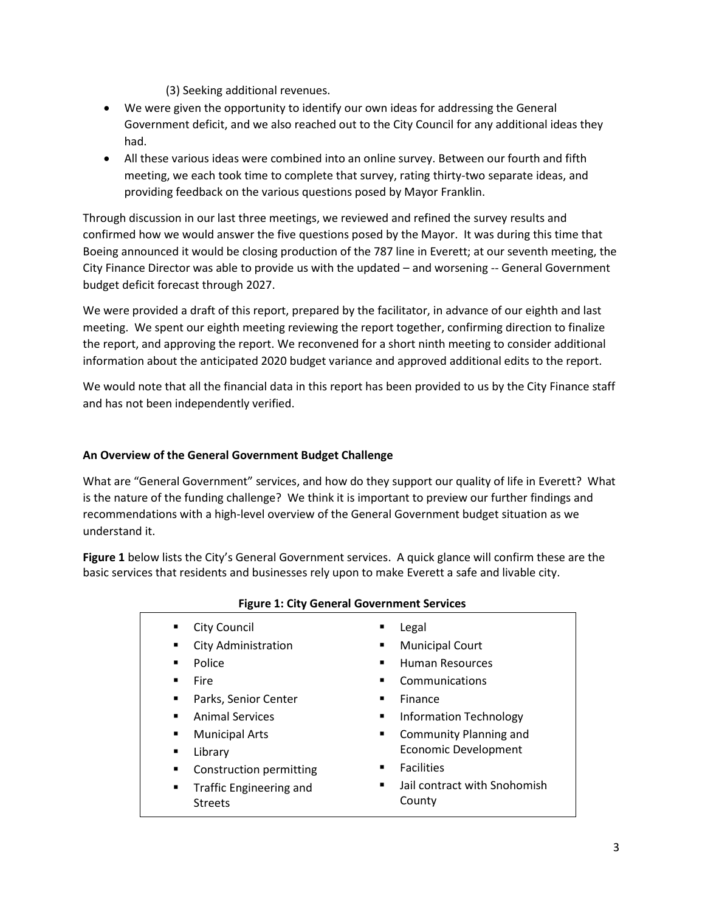(3) Seeking additional revenues.

- We were given the opportunity to identify our own ideas for addressing the General Government deficit, and we also reached out to the City Council for any additional ideas they had.
- All these various ideas were combined into an online survey. Between our fourth and fifth meeting, we each took time to complete that survey, rating thirty-two separate ideas, and providing feedback on the various questions posed by Mayor Franklin.

Through discussion in our last three meetings, we reviewed and refined the survey results and confirmed how we would answer the five questions posed by the Mayor. It was during this time that Boeing announced it would be closing production of the 787 line in Everett; at our seventh meeting, the City Finance Director was able to provide us with the updated – and worsening -- General Government budget deficit forecast through 2027.

We were provided a draft of this report, prepared by the facilitator, in advance of our eighth and last meeting. We spent our eighth meeting reviewing the report together, confirming direction to finalize the report, and approving the report. We reconvened for a short ninth meeting to consider additional information about the anticipated 2020 budget variance and approved additional edits to the report.

We would note that all the financial data in this report has been provided to us by the City Finance staff and has not been independently verified.

## **An Overview of the General Government Budget Challenge**

What are "General Government" services, and how do they support our quality of life in Everett? What is the nature of the funding challenge? We think it is important to preview our further findings and recommendations with a high-level overview of the General Government budget situation as we understand it.

**Figure 1** below lists the City's General Government services. A quick glance will confirm these are the basic services that residents and businesses rely upon to make Everett a safe and livable city.

| ٠              | <b>City Council</b>        | п | Legal                         |
|----------------|----------------------------|---|-------------------------------|
|                | <b>City Administration</b> | п | <b>Municipal Court</b>        |
| ٠              | Police                     |   | <b>Human Resources</b>        |
| ٠              | Fire                       | ■ | Communications                |
| ٠              | Parks, Senior Center       | ٠ | Finance                       |
| $\blacksquare$ | <b>Animal Services</b>     | ٠ | <b>Information Technology</b> |
| ٠              | <b>Municipal Arts</b>      | п | Community Planning and        |
| ٠              | Library                    |   | <b>Economic Development</b>   |
| ٠              | Construction permitting    | ٠ | <b>Facilities</b>             |
| ٠              | Traffic Engineering and    | ٠ | Jail contract with Snohomish  |
|                | <b>Streets</b>             |   | County                        |
|                |                            |   |                               |

#### **Figure 1: City General Government Services**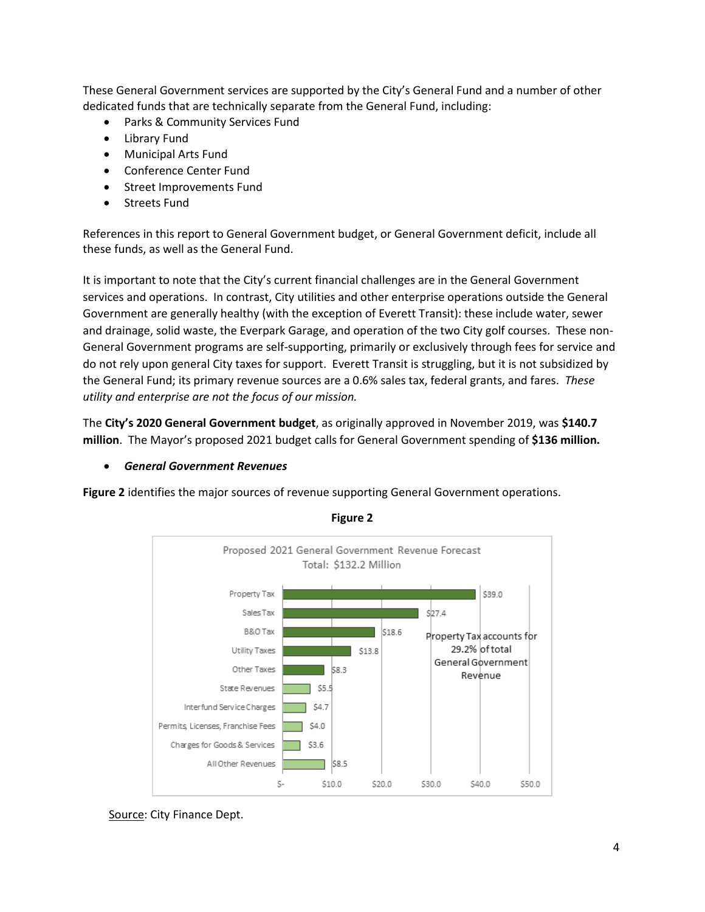These General Government services are supported by the City's General Fund and a number of other dedicated funds that are technically separate from the General Fund, including:

- Parks & Community Services Fund
- Library Fund
- Municipal Arts Fund
- Conference Center Fund
- Street Improvements Fund
- Streets Fund

References in this report to General Government budget, or General Government deficit, include all these funds, as well as the General Fund.

It is important to note that the City's current financial challenges are in the General Government services and operations. In contrast, City utilities and other enterprise operations outside the General Government are generally healthy (with the exception of Everett Transit): these include water, sewer and drainage, solid waste, the Everpark Garage, and operation of the two City golf courses. These non-General Government programs are self-supporting, primarily or exclusively through fees for service and do not rely upon general City taxes for support. Everett Transit is struggling, but it is not subsidized by the General Fund; its primary revenue sources are a 0.6% sales tax, federal grants, and fares. *These utility and enterprise are not the focus of our mission.* 

The **City's 2020 General Government budget**, as originally approved in November 2019, was **\$140.7 million**. The Mayor's proposed 2021 budget calls for General Government spending of **\$136 million.**

## *General Government Revenues*

**Figure 2** identifies the major sources of revenue supporting General Government operations.



**Figure 2** 

Source: City Finance Dept.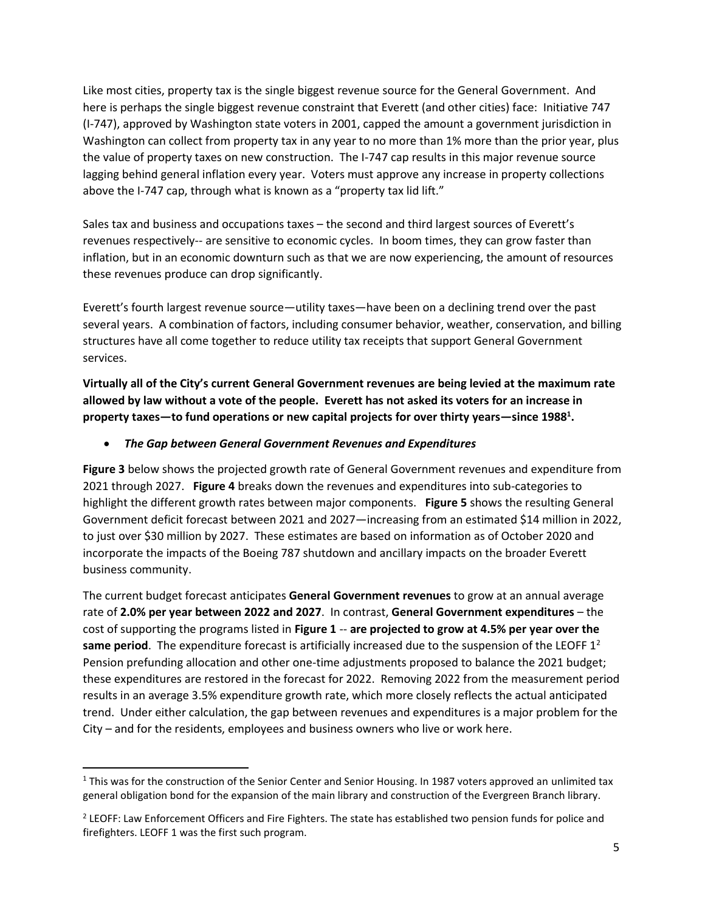Like most cities, property tax is the single biggest revenue source for the General Government. And here is perhaps the single biggest revenue constraint that Everett (and other cities) face: Initiative 747 (I-747), approved by Washington state voters in 2001, capped the amount a government jurisdiction in Washington can collect from property tax in any year to no more than 1% more than the prior year, plus the value of property taxes on new construction. The I-747 cap results in this major revenue source lagging behind general inflation every year. Voters must approve any increase in property collections above the I-747 cap, through what is known as a "property tax lid lift."

Sales tax and business and occupations taxes – the second and third largest sources of Everett's revenues respectively-- are sensitive to economic cycles. In boom times, they can grow faster than inflation, but in an economic downturn such as that we are now experiencing, the amount of resources these revenues produce can drop significantly.

Everett's fourth largest revenue source—utility taxes—have been on a declining trend over the past several years. A combination of factors, including consumer behavior, weather, conservation, and billing structures have all come together to reduce utility tax receipts that support General Government services.

**Virtually all of the City's current General Government revenues are being levied at the maximum rate allowed by law without a vote of the people. Everett has not asked its voters for an increase in property taxes—to fund operations or new capital projects for over thirty years—since 1988<sup>1</sup> .** 

### *The Gap between General Government Revenues and Expenditures*

**Figure 3** below shows the projected growth rate of General Government revenues and expenditure from 2021 through 2027. **Figure 4** breaks down the revenues and expenditures into sub-categories to highlight the different growth rates between major components. **Figure 5** shows the resulting General Government deficit forecast between 2021 and 2027—increasing from an estimated \$14 million in 2022, to just over \$30 million by 2027. These estimates are based on information as of October 2020 and incorporate the impacts of the Boeing 787 shutdown and ancillary impacts on the broader Everett business community.

The current budget forecast anticipates **General Government revenues** to grow at an annual average rate of **2.0% per year between 2022 and 2027**. In contrast, **General Government expenditures** – the cost of supporting the programs listed in **Figure 1** -- **are projected to grow at 4.5% per year over the same period**. The expenditure forecast is artificially increased due to the suspension of the LEOFF 1<sup>2</sup> Pension prefunding allocation and other one-time adjustments proposed to balance the 2021 budget; these expenditures are restored in the forecast for 2022. Removing 2022 from the measurement period results in an average 3.5% expenditure growth rate, which more closely reflects the actual anticipated trend. Under either calculation, the gap between revenues and expenditures is a major problem for the City – and for the residents, employees and business owners who live or work here.

l

 $1$  This was for the construction of the Senior Center and Senior Housing. In 1987 voters approved an unlimited tax general obligation bond for the expansion of the main library and construction of the Evergreen Branch library.

<sup>&</sup>lt;sup>2</sup> LEOFF: Law Enforcement Officers and Fire Fighters. The state has established two pension funds for police and firefighters. LEOFF 1 was the first such program.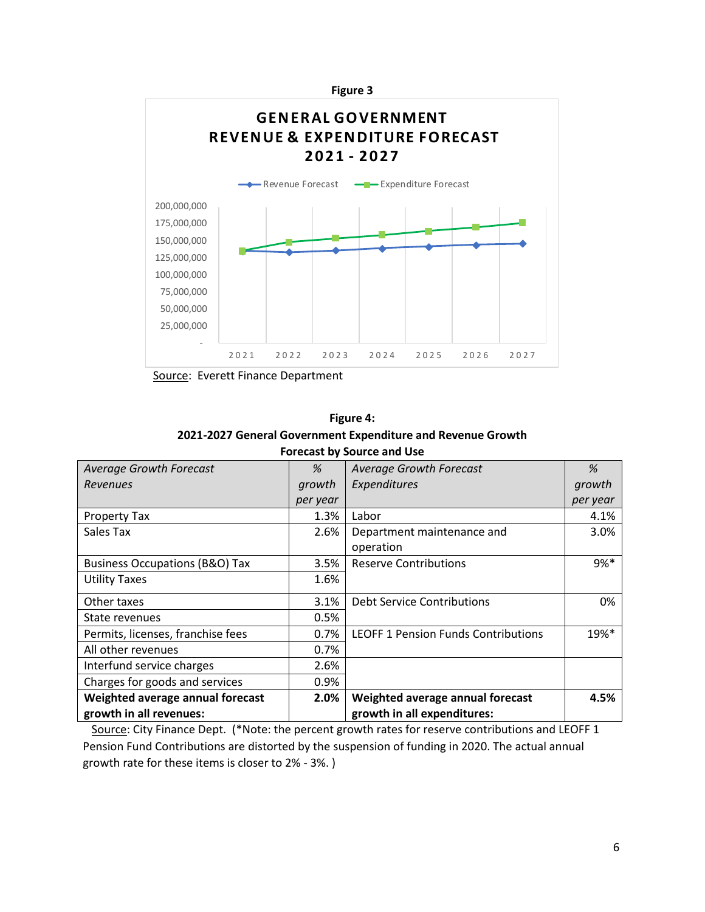

Source: Everett Finance Department

| <b>Figure 4:</b>                                            |
|-------------------------------------------------------------|
| 2021-2027 General Government Expenditure and Revenue Growth |

| <b>Average Growth Forecast</b>            | %        | <b>Average Growth Forecast</b>             | %        |
|-------------------------------------------|----------|--------------------------------------------|----------|
| <b>Revenues</b>                           | growth   | Expenditures                               | growth   |
|                                           | per year |                                            | per year |
| Property Tax                              | 1.3%     | Labor                                      | 4.1%     |
| Sales Tax                                 | 2.6%     | Department maintenance and                 | 3.0%     |
|                                           |          | operation                                  |          |
| <b>Business Occupations (B&amp;O) Tax</b> | 3.5%     | <b>Reserve Contributions</b>               | $9%*$    |
| <b>Utility Taxes</b>                      | 1.6%     |                                            |          |
| Other taxes                               | 3.1%     | <b>Debt Service Contributions</b>          | 0%       |
| State revenues                            | 0.5%     |                                            |          |
| Permits, licenses, franchise fees         | 0.7%     | <b>LEOFF 1 Pension Funds Contributions</b> | $19\%*$  |
| All other revenues                        | 0.7%     |                                            |          |
| Interfund service charges                 | 2.6%     |                                            |          |
| Charges for goods and services            | 0.9%     |                                            |          |
| Weighted average annual forecast          | 2.0%     | Weighted average annual forecast           | 4.5%     |
| growth in all revenues:                   |          | growth in all expenditures:                |          |

**Forecast by Source and Use**

Source: City Finance Dept. (\*Note: the percent growth rates for reserve contributions and LEOFF 1 Pension Fund Contributions are distorted by the suspension of funding in 2020. The actual annual growth rate for these items is closer to 2% - 3%. )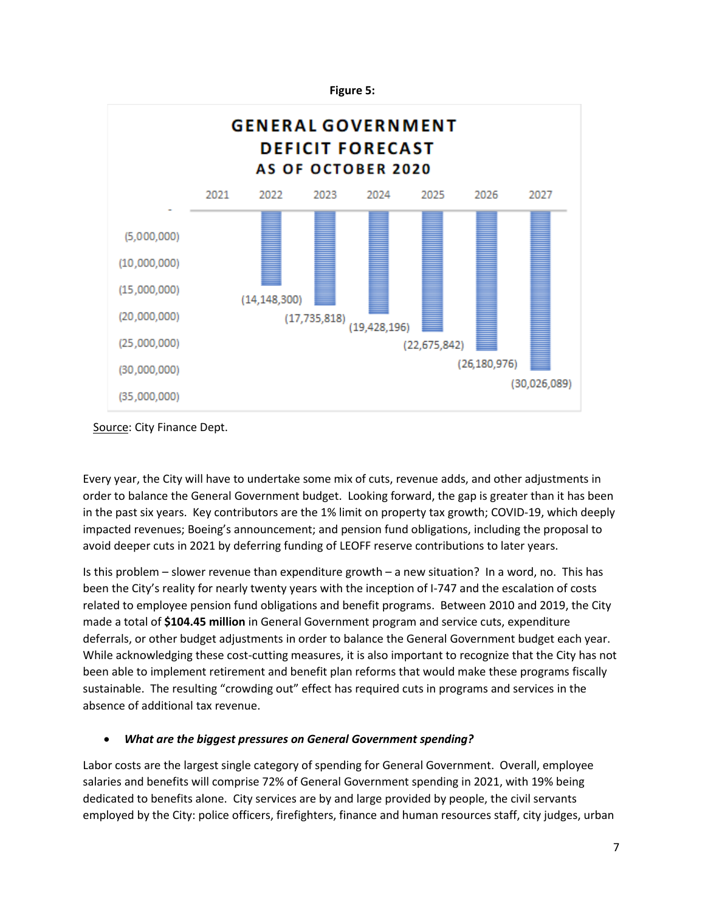

Source: City Finance Dept.

Every year, the City will have to undertake some mix of cuts, revenue adds, and other adjustments in order to balance the General Government budget. Looking forward, the gap is greater than it has been in the past six years. Key contributors are the 1% limit on property tax growth; COVID-19, which deeply impacted revenues; Boeing's announcement; and pension fund obligations, including the proposal to avoid deeper cuts in 2021 by deferring funding of LEOFF reserve contributions to later years.

Is this problem – slower revenue than expenditure growth – a new situation? In a word, no. This has been the City's reality for nearly twenty years with the inception of I-747 and the escalation of costs related to employee pension fund obligations and benefit programs. Between 2010 and 2019, the City made a total of **\$104.45 million** in General Government program and service cuts, expenditure deferrals, or other budget adjustments in order to balance the General Government budget each year. While acknowledging these cost-cutting measures, it is also important to recognize that the City has not been able to implement retirement and benefit plan reforms that would make these programs fiscally sustainable. The resulting "crowding out" effect has required cuts in programs and services in the absence of additional tax revenue.

## *What are the biggest pressures on General Government spending?*

Labor costs are the largest single category of spending for General Government. Overall, employee salaries and benefits will comprise 72% of General Government spending in 2021, with 19% being dedicated to benefits alone. City services are by and large provided by people, the civil servants employed by the City: police officers, firefighters, finance and human resources staff, city judges, urban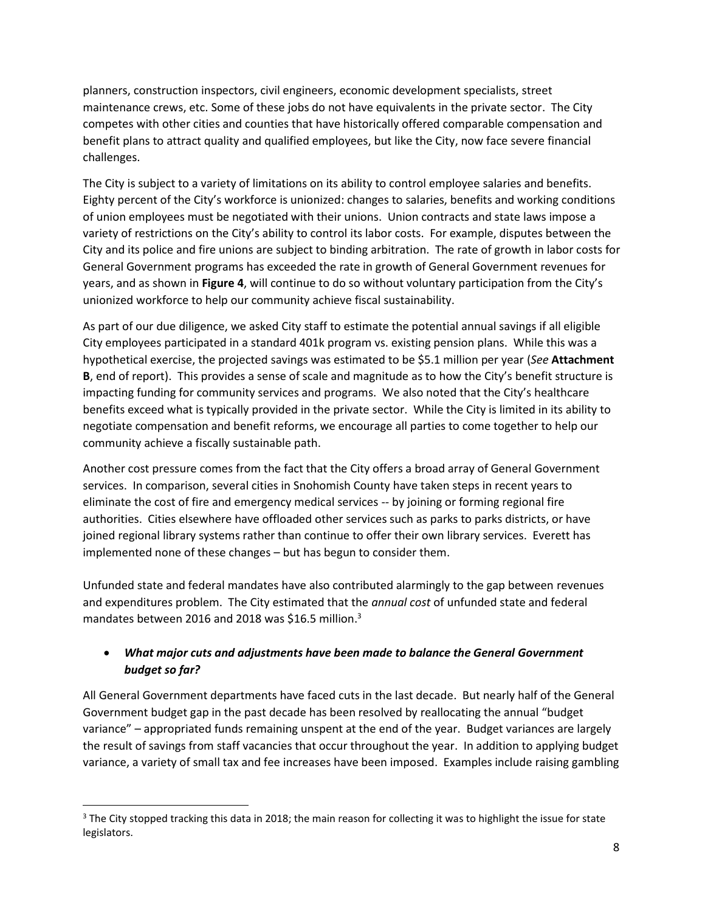planners, construction inspectors, civil engineers, economic development specialists, street maintenance crews, etc. Some of these jobs do not have equivalents in the private sector. The City competes with other cities and counties that have historically offered comparable compensation and benefit plans to attract quality and qualified employees, but like the City, now face severe financial challenges.

The City is subject to a variety of limitations on its ability to control employee salaries and benefits. Eighty percent of the City's workforce is unionized: changes to salaries, benefits and working conditions of union employees must be negotiated with their unions. Union contracts and state laws impose a variety of restrictions on the City's ability to control its labor costs. For example, disputes between the City and its police and fire unions are subject to binding arbitration. The rate of growth in labor costs for General Government programs has exceeded the rate in growth of General Government revenues for years, and as shown in **Figure 4**, will continue to do so without voluntary participation from the City's unionized workforce to help our community achieve fiscal sustainability.

As part of our due diligence, we asked City staff to estimate the potential annual savings if all eligible City employees participated in a standard 401k program vs. existing pension plans. While this was a hypothetical exercise, the projected savings was estimated to be \$5.1 million per year (*See* **Attachment B**, end of report). This provides a sense of scale and magnitude as to how the City's benefit structure is impacting funding for community services and programs. We also noted that the City's healthcare benefits exceed what is typically provided in the private sector. While the City is limited in its ability to negotiate compensation and benefit reforms, we encourage all parties to come together to help our community achieve a fiscally sustainable path.

Another cost pressure comes from the fact that the City offers a broad array of General Government services. In comparison, several cities in Snohomish County have taken steps in recent years to eliminate the cost of fire and emergency medical services -- by joining or forming regional fire authorities. Cities elsewhere have offloaded other services such as parks to parks districts, or have joined regional library systems rather than continue to offer their own library services. Everett has implemented none of these changes – but has begun to consider them.

Unfunded state and federal mandates have also contributed alarmingly to the gap between revenues and expenditures problem. The City estimated that the *annual cost* of unfunded state and federal mandates between 2016 and 2018 was \$16.5 million.<sup>3</sup>

## *What major cuts and adjustments have been made to balance the General Government budget so far?*

All General Government departments have faced cuts in the last decade. But nearly half of the General Government budget gap in the past decade has been resolved by reallocating the annual "budget variance" – appropriated funds remaining unspent at the end of the year. Budget variances are largely the result of savings from staff vacancies that occur throughout the year. In addition to applying budget variance, a variety of small tax and fee increases have been imposed. Examples include raising gambling

 $\overline{\phantom{a}}$ 

 $3$  The City stopped tracking this data in 2018; the main reason for collecting it was to highlight the issue for state legislators.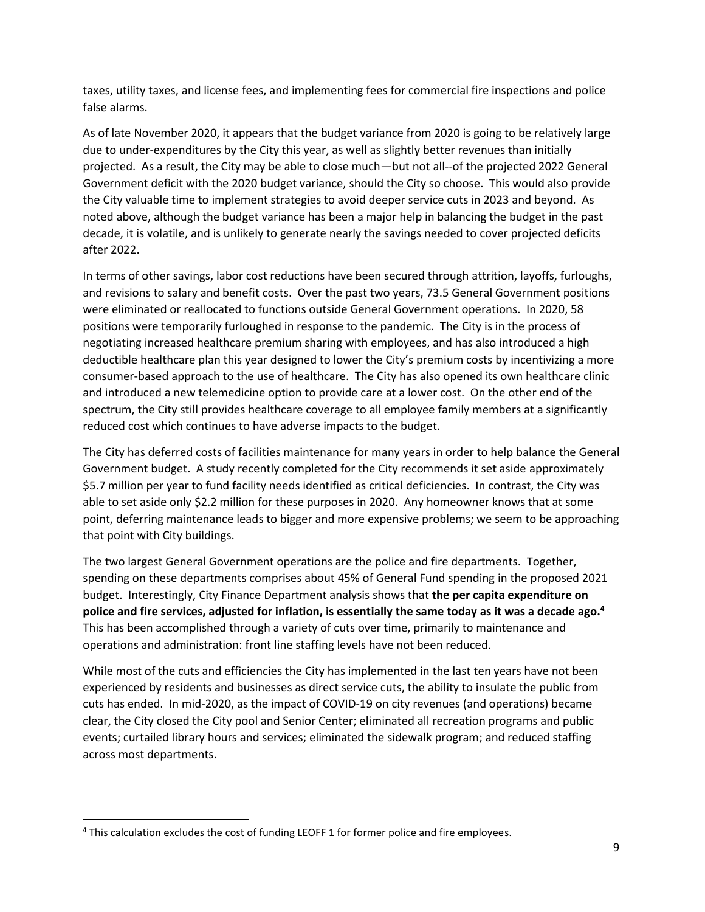taxes, utility taxes, and license fees, and implementing fees for commercial fire inspections and police false alarms.

As of late November 2020, it appears that the budget variance from 2020 is going to be relatively large due to under-expenditures by the City this year, as well as slightly better revenues than initially projected. As a result, the City may be able to close much—but not all--of the projected 2022 General Government deficit with the 2020 budget variance, should the City so choose. This would also provide the City valuable time to implement strategies to avoid deeper service cuts in 2023 and beyond. As noted above, although the budget variance has been a major help in balancing the budget in the past decade, it is volatile, and is unlikely to generate nearly the savings needed to cover projected deficits after 2022.

In terms of other savings, labor cost reductions have been secured through attrition, layoffs, furloughs, and revisions to salary and benefit costs. Over the past two years, 73.5 General Government positions were eliminated or reallocated to functions outside General Government operations. In 2020, 58 positions were temporarily furloughed in response to the pandemic. The City is in the process of negotiating increased healthcare premium sharing with employees, and has also introduced a high deductible healthcare plan this year designed to lower the City's premium costs by incentivizing a more consumer-based approach to the use of healthcare. The City has also opened its own healthcare clinic and introduced a new telemedicine option to provide care at a lower cost. On the other end of the spectrum, the City still provides healthcare coverage to all employee family members at a significantly reduced cost which continues to have adverse impacts to the budget.

The City has deferred costs of facilities maintenance for many years in order to help balance the General Government budget. A study recently completed for the City recommends it set aside approximately \$5.7 million per year to fund facility needs identified as critical deficiencies. In contrast, the City was able to set aside only \$2.2 million for these purposes in 2020. Any homeowner knows that at some point, deferring maintenance leads to bigger and more expensive problems; we seem to be approaching that point with City buildings.

The two largest General Government operations are the police and fire departments. Together, spending on these departments comprises about 45% of General Fund spending in the proposed 2021 budget. Interestingly, City Finance Department analysis shows that **the per capita expenditure on police and fire services, adjusted for inflation, is essentially the same today as it was a decade ago. 4**  This has been accomplished through a variety of cuts over time, primarily to maintenance and operations and administration: front line staffing levels have not been reduced.

While most of the cuts and efficiencies the City has implemented in the last ten years have not been experienced by residents and businesses as direct service cuts, the ability to insulate the public from cuts has ended. In mid-2020, as the impact of COVID-19 on city revenues (and operations) became clear, the City closed the City pool and Senior Center; eliminated all recreation programs and public events; curtailed library hours and services; eliminated the sidewalk program; and reduced staffing across most departments.

l

<sup>4</sup> This calculation excludes the cost of funding LEOFF 1 for former police and fire employees.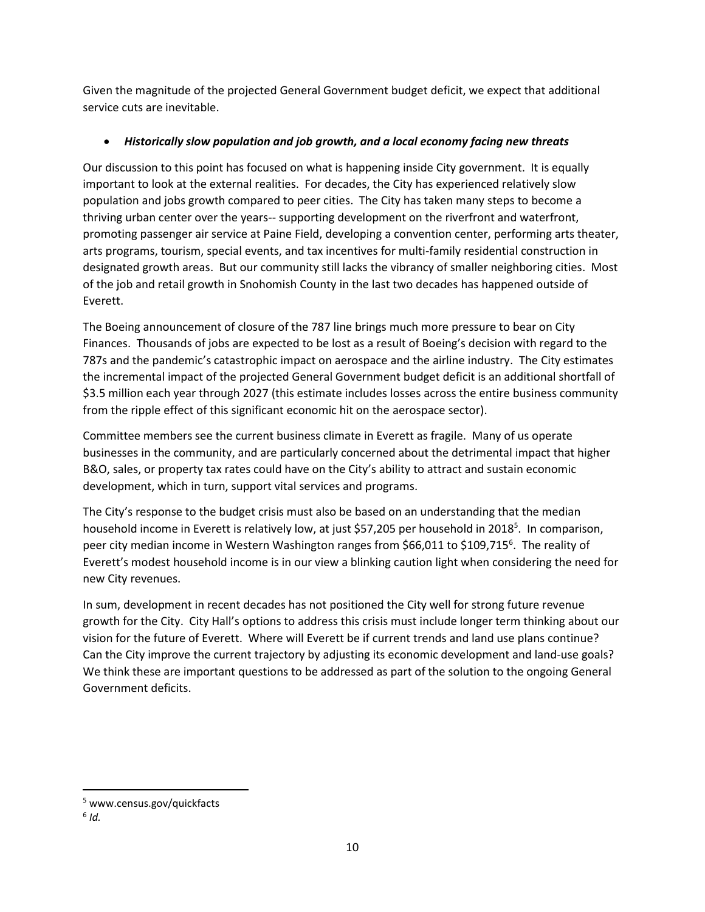Given the magnitude of the projected General Government budget deficit, we expect that additional service cuts are inevitable.

## *Historically slow population and job growth, and a local economy facing new threats*

Our discussion to this point has focused on what is happening inside City government. It is equally important to look at the external realities. For decades, the City has experienced relatively slow population and jobs growth compared to peer cities. The City has taken many steps to become a thriving urban center over the years-- supporting development on the riverfront and waterfront, promoting passenger air service at Paine Field, developing a convention center, performing arts theater, arts programs, tourism, special events, and tax incentives for multi-family residential construction in designated growth areas. But our community still lacks the vibrancy of smaller neighboring cities. Most of the job and retail growth in Snohomish County in the last two decades has happened outside of Everett.

The Boeing announcement of closure of the 787 line brings much more pressure to bear on City Finances. Thousands of jobs are expected to be lost as a result of Boeing's decision with regard to the 787s and the pandemic's catastrophic impact on aerospace and the airline industry. The City estimates the incremental impact of the projected General Government budget deficit is an additional shortfall of \$3.5 million each year through 2027 (this estimate includes losses across the entire business community from the ripple effect of this significant economic hit on the aerospace sector).

Committee members see the current business climate in Everett as fragile. Many of us operate businesses in the community, and are particularly concerned about the detrimental impact that higher B&O, sales, or property tax rates could have on the City's ability to attract and sustain economic development, which in turn, support vital services and programs.

The City's response to the budget crisis must also be based on an understanding that the median household income in Everett is relatively low, at just \$57,205 per household in 2018<sup>5</sup>. In comparison, peer city median income in Western Washington ranges from \$66,011 to \$109,715<sup>6</sup>. The reality of Everett's modest household income is in our view a blinking caution light when considering the need for new City revenues.

In sum, development in recent decades has not positioned the City well for strong future revenue growth for the City. City Hall's options to address this crisis must include longer term thinking about our vision for the future of Everett. Where will Everett be if current trends and land use plans continue? Can the City improve the current trajectory by adjusting its economic development and land-use goals? We think these are important questions to be addressed as part of the solution to the ongoing General Government deficits.

 $\overline{\phantom{a}}$ 

<sup>5</sup> www.census.gov/quickfacts

<sup>6</sup> *Id.*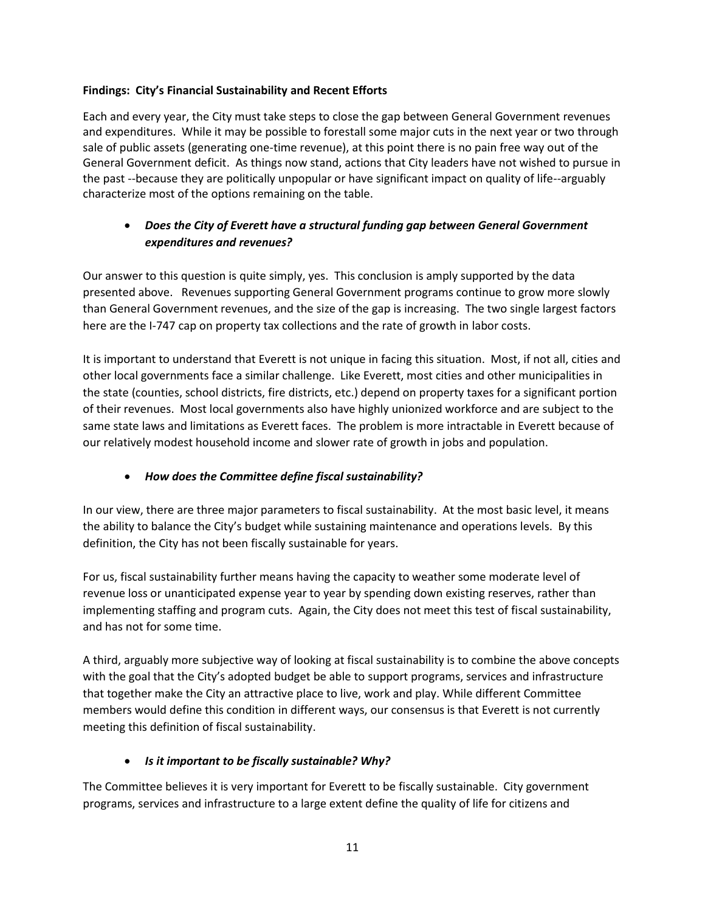## **Findings: City's Financial Sustainability and Recent Efforts**

Each and every year, the City must take steps to close the gap between General Government revenues and expenditures. While it may be possible to forestall some major cuts in the next year or two through sale of public assets (generating one-time revenue), at this point there is no pain free way out of the General Government deficit. As things now stand, actions that City leaders have not wished to pursue in the past --because they are politically unpopular or have significant impact on quality of life--arguably characterize most of the options remaining on the table.

## *Does the City of Everett have a structural funding gap between General Government expenditures and revenues?*

Our answer to this question is quite simply, yes. This conclusion is amply supported by the data presented above. Revenues supporting General Government programs continue to grow more slowly than General Government revenues, and the size of the gap is increasing. The two single largest factors here are the I-747 cap on property tax collections and the rate of growth in labor costs.

It is important to understand that Everett is not unique in facing this situation. Most, if not all, cities and other local governments face a similar challenge. Like Everett, most cities and other municipalities in the state (counties, school districts, fire districts, etc.) depend on property taxes for a significant portion of their revenues. Most local governments also have highly unionized workforce and are subject to the same state laws and limitations as Everett faces. The problem is more intractable in Everett because of our relatively modest household income and slower rate of growth in jobs and population.

## *How does the Committee define fiscal sustainability?*

In our view, there are three major parameters to fiscal sustainability. At the most basic level, it means the ability to balance the City's budget while sustaining maintenance and operations levels. By this definition, the City has not been fiscally sustainable for years.

For us, fiscal sustainability further means having the capacity to weather some moderate level of revenue loss or unanticipated expense year to year by spending down existing reserves, rather than implementing staffing and program cuts. Again, the City does not meet this test of fiscal sustainability, and has not for some time.

A third, arguably more subjective way of looking at fiscal sustainability is to combine the above concepts with the goal that the City's adopted budget be able to support programs, services and infrastructure that together make the City an attractive place to live, work and play. While different Committee members would define this condition in different ways, our consensus is that Everett is not currently meeting this definition of fiscal sustainability.

## *Is it important to be fiscally sustainable? Why?*

The Committee believes it is very important for Everett to be fiscally sustainable. City government programs, services and infrastructure to a large extent define the quality of life for citizens and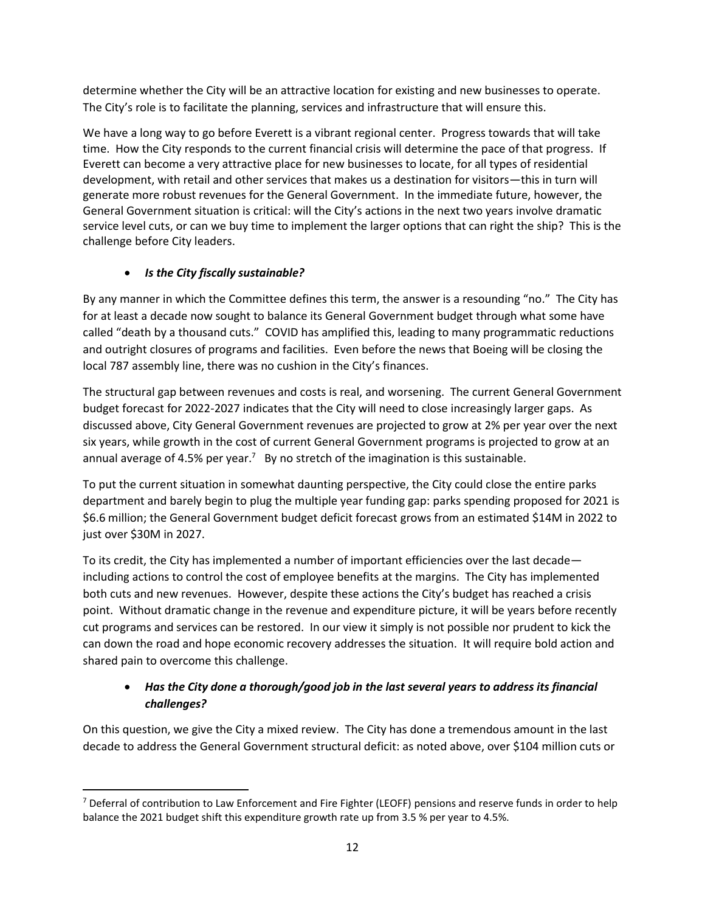determine whether the City will be an attractive location for existing and new businesses to operate. The City's role is to facilitate the planning, services and infrastructure that will ensure this.

We have a long way to go before Everett is a vibrant regional center. Progress towards that will take time. How the City responds to the current financial crisis will determine the pace of that progress. If Everett can become a very attractive place for new businesses to locate, for all types of residential development, with retail and other services that makes us a destination for visitors—this in turn will generate more robust revenues for the General Government. In the immediate future, however, the General Government situation is critical: will the City's actions in the next two years involve dramatic service level cuts, or can we buy time to implement the larger options that can right the ship? This is the challenge before City leaders.

## *Is the City fiscally sustainable?*

 $\overline{\phantom{a}}$ 

By any manner in which the Committee defines this term, the answer is a resounding "no." The City has for at least a decade now sought to balance its General Government budget through what some have called "death by a thousand cuts." COVID has amplified this, leading to many programmatic reductions and outright closures of programs and facilities. Even before the news that Boeing will be closing the local 787 assembly line, there was no cushion in the City's finances.

The structural gap between revenues and costs is real, and worsening. The current General Government budget forecast for 2022-2027 indicates that the City will need to close increasingly larger gaps. As discussed above, City General Government revenues are projected to grow at 2% per year over the next six years, while growth in the cost of current General Government programs is projected to grow at an annual average of 4.5% per year.<sup>7</sup> By no stretch of the imagination is this sustainable.

To put the current situation in somewhat daunting perspective, the City could close the entire parks department and barely begin to plug the multiple year funding gap: parks spending proposed for 2021 is \$6.6 million; the General Government budget deficit forecast grows from an estimated \$14M in 2022 to just over \$30M in 2027.

To its credit, the City has implemented a number of important efficiencies over the last decade including actions to control the cost of employee benefits at the margins. The City has implemented both cuts and new revenues. However, despite these actions the City's budget has reached a crisis point. Without dramatic change in the revenue and expenditure picture, it will be years before recently cut programs and services can be restored. In our view it simply is not possible nor prudent to kick the can down the road and hope economic recovery addresses the situation. It will require bold action and shared pain to overcome this challenge.

## *Has the City done a thorough/good job in the last several years to address its financial challenges?*

On this question, we give the City a mixed review. The City has done a tremendous amount in the last decade to address the General Government structural deficit: as noted above, over \$104 million cuts or

 $7$  Deferral of contribution to Law Enforcement and Fire Fighter (LEOFF) pensions and reserve funds in order to help balance the 2021 budget shift this expenditure growth rate up from 3.5 % per year to 4.5%.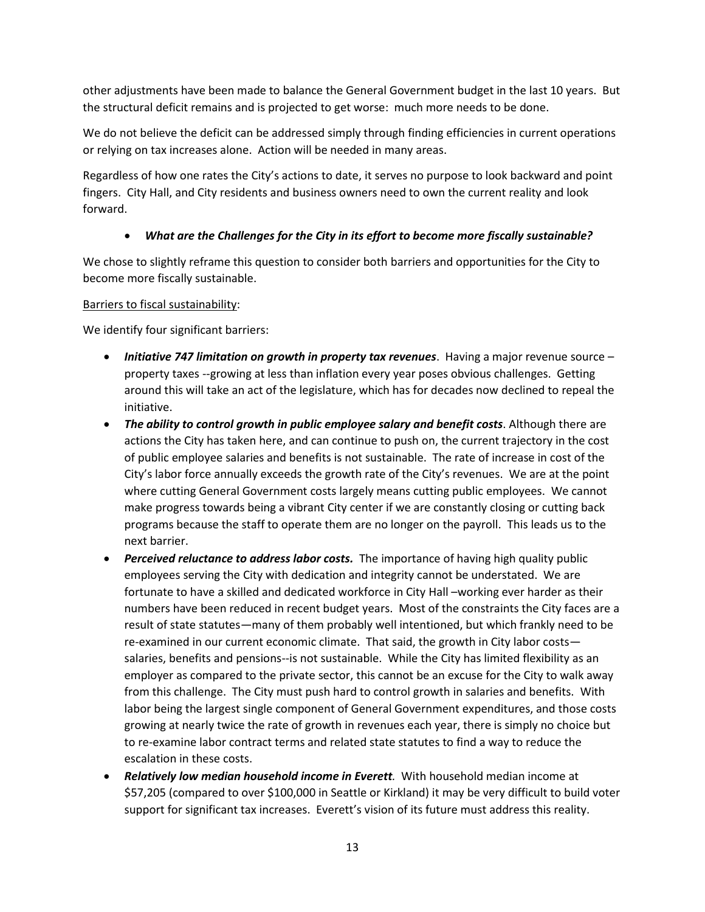other adjustments have been made to balance the General Government budget in the last 10 years. But the structural deficit remains and is projected to get worse: much more needs to be done.

We do not believe the deficit can be addressed simply through finding efficiencies in current operations or relying on tax increases alone. Action will be needed in many areas.

Regardless of how one rates the City's actions to date, it serves no purpose to look backward and point fingers. City Hall, and City residents and business owners need to own the current reality and look forward.

## *What are the Challenges for the City in its effort to become more fiscally sustainable?*

We chose to slightly reframe this question to consider both barriers and opportunities for the City to become more fiscally sustainable.

### Barriers to fiscal sustainability:

We identify four significant barriers:

- *Initiative 747 limitation on growth in property tax revenues*. Having a major revenue source property taxes --growing at less than inflation every year poses obvious challenges. Getting around this will take an act of the legislature, which has for decades now declined to repeal the initiative.
- *The ability to control growth in public employee salary and benefit costs*. Although there are actions the City has taken here, and can continue to push on, the current trajectory in the cost of public employee salaries and benefits is not sustainable. The rate of increase in cost of the City's labor force annually exceeds the growth rate of the City's revenues. We are at the point where cutting General Government costs largely means cutting public employees. We cannot make progress towards being a vibrant City center if we are constantly closing or cutting back programs because the staff to operate them are no longer on the payroll. This leads us to the next barrier.
- *Perceived reluctance to address labor costs.* The importance of having high quality public employees serving the City with dedication and integrity cannot be understated. We are fortunate to have a skilled and dedicated workforce in City Hall –working ever harder as their numbers have been reduced in recent budget years. Most of the constraints the City faces are a result of state statutes—many of them probably well intentioned, but which frankly need to be re-examined in our current economic climate. That said, the growth in City labor costs salaries, benefits and pensions--is not sustainable. While the City has limited flexibility as an employer as compared to the private sector, this cannot be an excuse for the City to walk away from this challenge. The City must push hard to control growth in salaries and benefits. With labor being the largest single component of General Government expenditures, and those costs growing at nearly twice the rate of growth in revenues each year, there is simply no choice but to re-examine labor contract terms and related state statutes to find a way to reduce the escalation in these costs.
- *Relatively low median household income in Everett.* With household median income at \$57,205 (compared to over \$100,000 in Seattle or Kirkland) it may be very difficult to build voter support for significant tax increases. Everett's vision of its future must address this reality.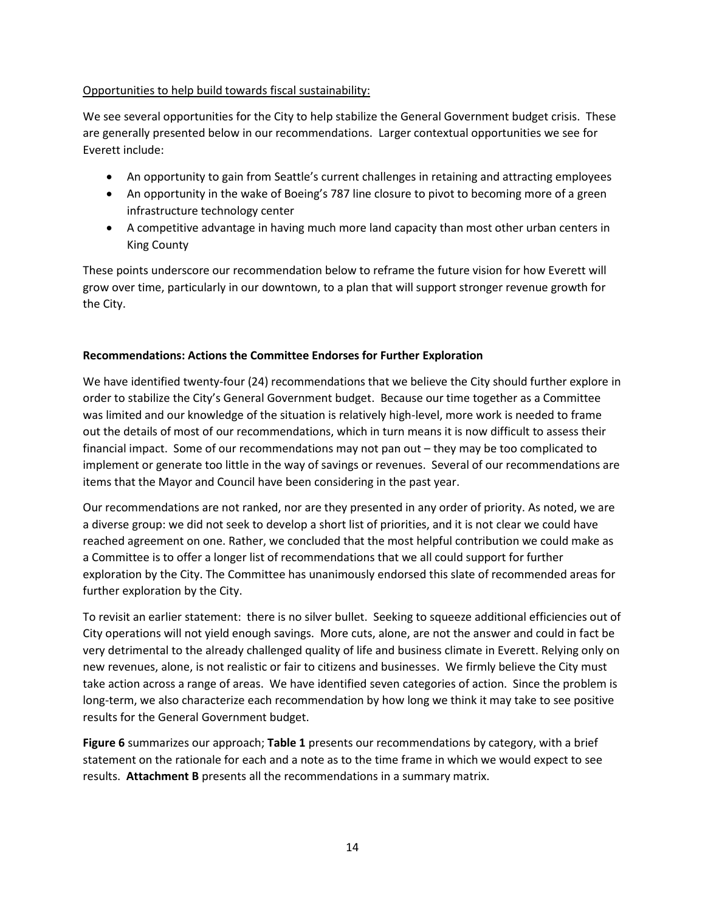### Opportunities to help build towards fiscal sustainability:

We see several opportunities for the City to help stabilize the General Government budget crisis. These are generally presented below in our recommendations. Larger contextual opportunities we see for Everett include:

- An opportunity to gain from Seattle's current challenges in retaining and attracting employees
- An opportunity in the wake of Boeing's 787 line closure to pivot to becoming more of a green infrastructure technology center
- A competitive advantage in having much more land capacity than most other urban centers in King County

These points underscore our recommendation below to reframe the future vision for how Everett will grow over time, particularly in our downtown, to a plan that will support stronger revenue growth for the City.

### **Recommendations: Actions the Committee Endorses for Further Exploration**

We have identified twenty-four (24) recommendations that we believe the City should further explore in order to stabilize the City's General Government budget. Because our time together as a Committee was limited and our knowledge of the situation is relatively high-level, more work is needed to frame out the details of most of our recommendations, which in turn means it is now difficult to assess their financial impact. Some of our recommendations may not pan out – they may be too complicated to implement or generate too little in the way of savings or revenues. Several of our recommendations are items that the Mayor and Council have been considering in the past year.

Our recommendations are not ranked, nor are they presented in any order of priority. As noted, we are a diverse group: we did not seek to develop a short list of priorities, and it is not clear we could have reached agreement on one. Rather, we concluded that the most helpful contribution we could make as a Committee is to offer a longer list of recommendations that we all could support for further exploration by the City. The Committee has unanimously endorsed this slate of recommended areas for further exploration by the City.

To revisit an earlier statement: there is no silver bullet. Seeking to squeeze additional efficiencies out of City operations will not yield enough savings. More cuts, alone, are not the answer and could in fact be very detrimental to the already challenged quality of life and business climate in Everett. Relying only on new revenues, alone, is not realistic or fair to citizens and businesses. We firmly believe the City must take action across a range of areas. We have identified seven categories of action. Since the problem is long-term, we also characterize each recommendation by how long we think it may take to see positive results for the General Government budget.

**Figure 6** summarizes our approach; **Table 1** presents our recommendations by category, with a brief statement on the rationale for each and a note as to the time frame in which we would expect to see results. **Attachment B** presents all the recommendations in a summary matrix.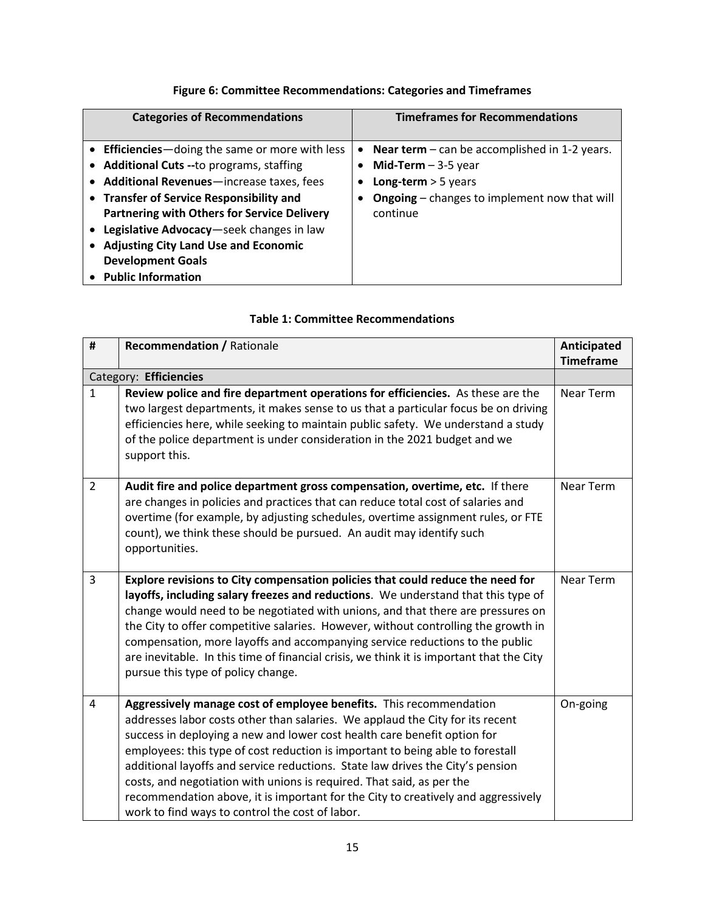## **Figure 6: Committee Recommendations: Categories and Timeframes**

| <b>Categories of Recommendations</b>                                                                                                                                                                                                                                                                                                                                                             | <b>Timeframes for Recommendations</b>                                                                                                                                  |
|--------------------------------------------------------------------------------------------------------------------------------------------------------------------------------------------------------------------------------------------------------------------------------------------------------------------------------------------------------------------------------------------------|------------------------------------------------------------------------------------------------------------------------------------------------------------------------|
| • Efficiencies—doing the same or more with less<br>• Additional Cuts --to programs, staffing<br>• Additional Revenues-increase taxes, fees<br>• Transfer of Service Responsibility and<br><b>Partnering with Others for Service Delivery</b><br>Legislative Advocacy-seek changes in law<br><b>Adjusting City Land Use and Economic</b><br><b>Development Goals</b><br><b>Public Information</b> | <b>Near term</b> – can be accomplished in 1-2 years.<br>٠<br>Mid-Term $-3-5$ year<br>Long-term $>$ 5 years<br>Ongoing - changes to implement now that will<br>continue |

### **Table 1: Committee Recommendations**

| $\pmb{\sharp}$ | <b>Recommendation / Rationale</b>                                                                                                                                                                                                                                                                                                                                                                                                                                                                                                                                                                                    | Anticipated<br><b>Timeframe</b> |
|----------------|----------------------------------------------------------------------------------------------------------------------------------------------------------------------------------------------------------------------------------------------------------------------------------------------------------------------------------------------------------------------------------------------------------------------------------------------------------------------------------------------------------------------------------------------------------------------------------------------------------------------|---------------------------------|
|                | Category: Efficiencies                                                                                                                                                                                                                                                                                                                                                                                                                                                                                                                                                                                               |                                 |
| 1              | Review police and fire department operations for efficiencies. As these are the<br>two largest departments, it makes sense to us that a particular focus be on driving<br>efficiencies here, while seeking to maintain public safety. We understand a study<br>of the police department is under consideration in the 2021 budget and we<br>support this.                                                                                                                                                                                                                                                            | Near Term                       |
| $\overline{2}$ | Audit fire and police department gross compensation, overtime, etc. If there<br>are changes in policies and practices that can reduce total cost of salaries and<br>overtime (for example, by adjusting schedules, overtime assignment rules, or FTE<br>count), we think these should be pursued. An audit may identify such<br>opportunities.                                                                                                                                                                                                                                                                       | Near Term                       |
| 3              | Explore revisions to City compensation policies that could reduce the need for<br>layoffs, including salary freezes and reductions. We understand that this type of<br>change would need to be negotiated with unions, and that there are pressures on<br>the City to offer competitive salaries. However, without controlling the growth in<br>compensation, more layoffs and accompanying service reductions to the public<br>are inevitable. In this time of financial crisis, we think it is important that the City<br>pursue this type of policy change.                                                       | Near Term                       |
| 4              | Aggressively manage cost of employee benefits. This recommendation<br>addresses labor costs other than salaries. We applaud the City for its recent<br>success in deploying a new and lower cost health care benefit option for<br>employees: this type of cost reduction is important to being able to forestall<br>additional layoffs and service reductions. State law drives the City's pension<br>costs, and negotiation with unions is required. That said, as per the<br>recommendation above, it is important for the City to creatively and aggressively<br>work to find ways to control the cost of labor. | On-going                        |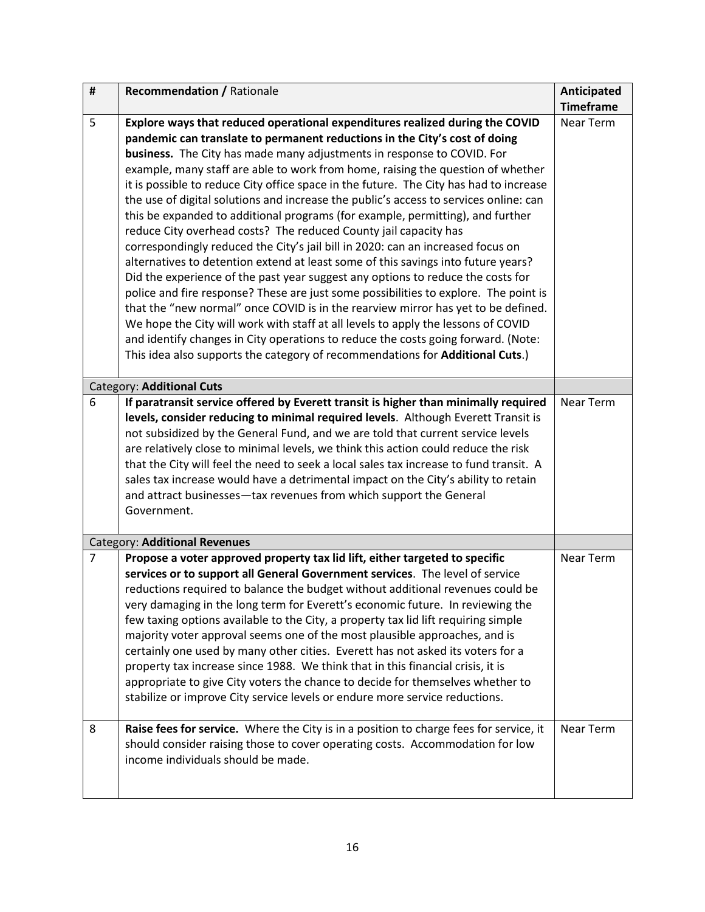| $\pmb{\sharp}$ | <b>Recommendation / Rationale</b>                                                                                                                                                                                                                                                                                                                                                                                                                                                                                                                                                                                                                                                                                                                                                                                                                                                                                                                                                                                                                                                                                                                                                                                                                                                                                                                                   | Anticipated      |
|----------------|---------------------------------------------------------------------------------------------------------------------------------------------------------------------------------------------------------------------------------------------------------------------------------------------------------------------------------------------------------------------------------------------------------------------------------------------------------------------------------------------------------------------------------------------------------------------------------------------------------------------------------------------------------------------------------------------------------------------------------------------------------------------------------------------------------------------------------------------------------------------------------------------------------------------------------------------------------------------------------------------------------------------------------------------------------------------------------------------------------------------------------------------------------------------------------------------------------------------------------------------------------------------------------------------------------------------------------------------------------------------|------------------|
|                |                                                                                                                                                                                                                                                                                                                                                                                                                                                                                                                                                                                                                                                                                                                                                                                                                                                                                                                                                                                                                                                                                                                                                                                                                                                                                                                                                                     | <b>Timeframe</b> |
| 5              | Explore ways that reduced operational expenditures realized during the COVID<br>pandemic can translate to permanent reductions in the City's cost of doing<br>business. The City has made many adjustments in response to COVID. For<br>example, many staff are able to work from home, raising the question of whether<br>it is possible to reduce City office space in the future. The City has had to increase<br>the use of digital solutions and increase the public's access to services online: can<br>this be expanded to additional programs (for example, permitting), and further<br>reduce City overhead costs? The reduced County jail capacity has<br>correspondingly reduced the City's jail bill in 2020: can an increased focus on<br>alternatives to detention extend at least some of this savings into future years?<br>Did the experience of the past year suggest any options to reduce the costs for<br>police and fire response? These are just some possibilities to explore. The point is<br>that the "new normal" once COVID is in the rearview mirror has yet to be defined.<br>We hope the City will work with staff at all levels to apply the lessons of COVID<br>and identify changes in City operations to reduce the costs going forward. (Note:<br>This idea also supports the category of recommendations for Additional Cuts.) | Near Term        |
|                | Category: Additional Cuts                                                                                                                                                                                                                                                                                                                                                                                                                                                                                                                                                                                                                                                                                                                                                                                                                                                                                                                                                                                                                                                                                                                                                                                                                                                                                                                                           |                  |
| 6              | If paratransit service offered by Everett transit is higher than minimally required<br>levels, consider reducing to minimal required levels. Although Everett Transit is<br>not subsidized by the General Fund, and we are told that current service levels<br>are relatively close to minimal levels, we think this action could reduce the risk<br>that the City will feel the need to seek a local sales tax increase to fund transit. A<br>sales tax increase would have a detrimental impact on the City's ability to retain<br>and attract businesses-tax revenues from which support the General<br>Government.                                                                                                                                                                                                                                                                                                                                                                                                                                                                                                                                                                                                                                                                                                                                              | Near Term        |
|                | Category: Additional Revenues                                                                                                                                                                                                                                                                                                                                                                                                                                                                                                                                                                                                                                                                                                                                                                                                                                                                                                                                                                                                                                                                                                                                                                                                                                                                                                                                       |                  |
| $\overline{7}$ | Propose a voter approved property tax lid lift, either targeted to specific<br>services or to support all General Government services. The level of service<br>reductions required to balance the budget without additional revenues could be<br>very damaging in the long term for Everett's economic future. In reviewing the<br>few taxing options available to the City, a property tax lid lift requiring simple<br>majority voter approval seems one of the most plausible approaches, and is<br>certainly one used by many other cities. Everett has not asked its voters for a<br>property tax increase since 1988. We think that in this financial crisis, it is<br>appropriate to give City voters the chance to decide for themselves whether to<br>stabilize or improve City service levels or endure more service reductions.                                                                                                                                                                                                                                                                                                                                                                                                                                                                                                                          | <b>Near Term</b> |
| 8              | Raise fees for service. Where the City is in a position to charge fees for service, it<br>should consider raising those to cover operating costs. Accommodation for low<br>income individuals should be made.                                                                                                                                                                                                                                                                                                                                                                                                                                                                                                                                                                                                                                                                                                                                                                                                                                                                                                                                                                                                                                                                                                                                                       | <b>Near Term</b> |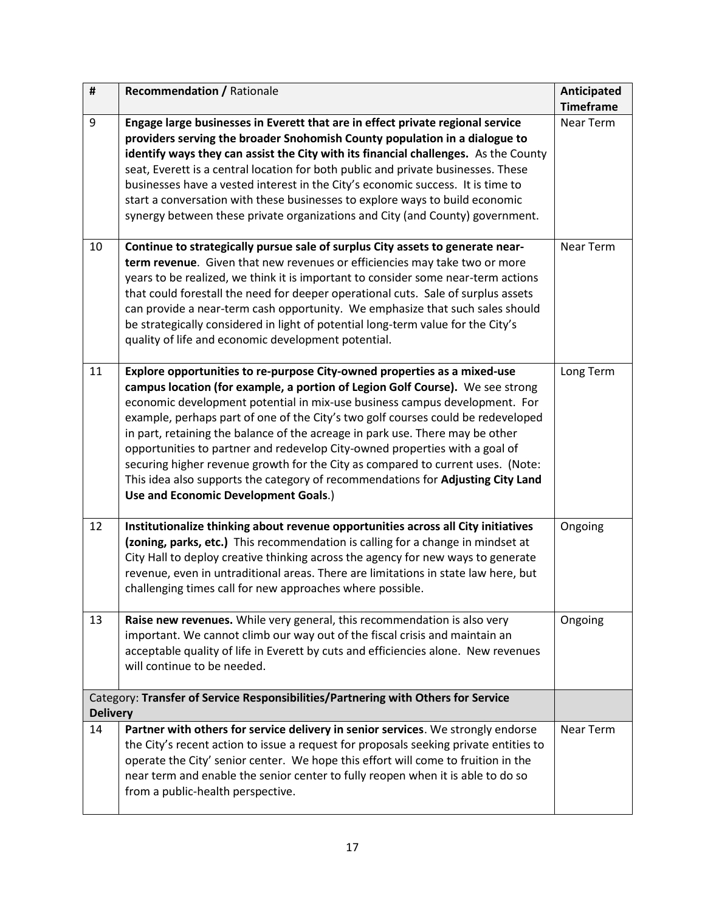| $\pmb{\sharp}$                                                                                       | <b>Recommendation / Rationale</b>                                                                                                                                                                                                                                                                                                                                                                                                                                                                                                                                                                                                                                                                         | Anticipated      |  |  |  |
|------------------------------------------------------------------------------------------------------|-----------------------------------------------------------------------------------------------------------------------------------------------------------------------------------------------------------------------------------------------------------------------------------------------------------------------------------------------------------------------------------------------------------------------------------------------------------------------------------------------------------------------------------------------------------------------------------------------------------------------------------------------------------------------------------------------------------|------------------|--|--|--|
|                                                                                                      |                                                                                                                                                                                                                                                                                                                                                                                                                                                                                                                                                                                                                                                                                                           | <b>Timeframe</b> |  |  |  |
| 9                                                                                                    | Engage large businesses in Everett that are in effect private regional service<br>providers serving the broader Snohomish County population in a dialogue to<br>identify ways they can assist the City with its financial challenges. As the County<br>seat, Everett is a central location for both public and private businesses. These<br>businesses have a vested interest in the City's economic success. It is time to<br>start a conversation with these businesses to explore ways to build economic<br>synergy between these private organizations and City (and County) government.                                                                                                              | Near Term        |  |  |  |
| 10                                                                                                   | Continue to strategically pursue sale of surplus City assets to generate near-<br>term revenue. Given that new revenues or efficiencies may take two or more<br>years to be realized, we think it is important to consider some near-term actions<br>that could forestall the need for deeper operational cuts. Sale of surplus assets<br>can provide a near-term cash opportunity. We emphasize that such sales should<br>be strategically considered in light of potential long-term value for the City's<br>quality of life and economic development potential.                                                                                                                                        | Near Term        |  |  |  |
| 11                                                                                                   | Explore opportunities to re-purpose City-owned properties as a mixed-use<br>campus location (for example, a portion of Legion Golf Course). We see strong<br>economic development potential in mix-use business campus development. For<br>example, perhaps part of one of the City's two golf courses could be redeveloped<br>in part, retaining the balance of the acreage in park use. There may be other<br>opportunities to partner and redevelop City-owned properties with a goal of<br>securing higher revenue growth for the City as compared to current uses. (Note:<br>This idea also supports the category of recommendations for Adjusting City Land<br>Use and Economic Development Goals.) | Long Term        |  |  |  |
| 12                                                                                                   | Institutionalize thinking about revenue opportunities across all City initiatives<br>(zoning, parks, etc.) This recommendation is calling for a change in mindset at<br>City Hall to deploy creative thinking across the agency for new ways to generate<br>revenue, even in untraditional areas. There are limitations in state law here, but<br>challenging times call for new approaches where possible.                                                                                                                                                                                                                                                                                               | Ongoing          |  |  |  |
| 13                                                                                                   | Raise new revenues. While very general, this recommendation is also very<br>important. We cannot climb our way out of the fiscal crisis and maintain an<br>acceptable quality of life in Everett by cuts and efficiencies alone. New revenues<br>will continue to be needed.                                                                                                                                                                                                                                                                                                                                                                                                                              | Ongoing          |  |  |  |
| Category: Transfer of Service Responsibilities/Partnering with Others for Service<br><b>Delivery</b> |                                                                                                                                                                                                                                                                                                                                                                                                                                                                                                                                                                                                                                                                                                           |                  |  |  |  |
| 14                                                                                                   | Partner with others for service delivery in senior services. We strongly endorse<br>the City's recent action to issue a request for proposals seeking private entities to<br>operate the City' senior center. We hope this effort will come to fruition in the<br>near term and enable the senior center to fully reopen when it is able to do so<br>from a public-health perspective.                                                                                                                                                                                                                                                                                                                    | Near Term        |  |  |  |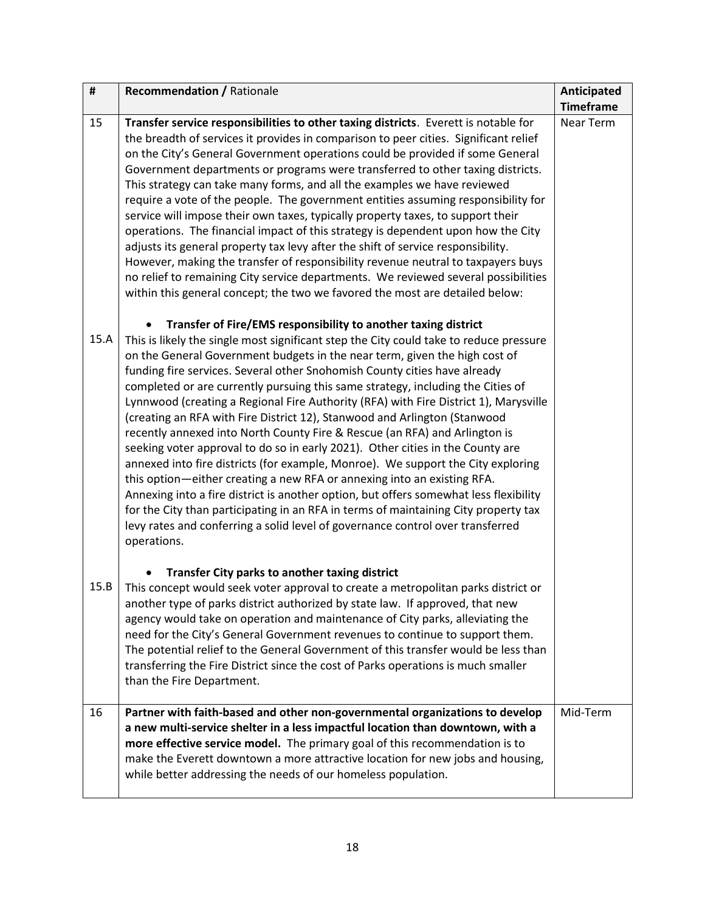| $\pmb{\sharp}$ | <b>Recommendation / Rationale</b>                                                                                                                                                                                                                                                                                                                                                                                                                                                                                                                                                                                                                                                                                                                                                                                                                                                                                                                                                                                                                                                                                                                                                           | Anticipated      |
|----------------|---------------------------------------------------------------------------------------------------------------------------------------------------------------------------------------------------------------------------------------------------------------------------------------------------------------------------------------------------------------------------------------------------------------------------------------------------------------------------------------------------------------------------------------------------------------------------------------------------------------------------------------------------------------------------------------------------------------------------------------------------------------------------------------------------------------------------------------------------------------------------------------------------------------------------------------------------------------------------------------------------------------------------------------------------------------------------------------------------------------------------------------------------------------------------------------------|------------------|
|                |                                                                                                                                                                                                                                                                                                                                                                                                                                                                                                                                                                                                                                                                                                                                                                                                                                                                                                                                                                                                                                                                                                                                                                                             | <b>Timeframe</b> |
| 15             | Transfer service responsibilities to other taxing districts. Everett is notable for<br>the breadth of services it provides in comparison to peer cities. Significant relief<br>on the City's General Government operations could be provided if some General                                                                                                                                                                                                                                                                                                                                                                                                                                                                                                                                                                                                                                                                                                                                                                                                                                                                                                                                | Near Term        |
|                | Government departments or programs were transferred to other taxing districts.<br>This strategy can take many forms, and all the examples we have reviewed<br>require a vote of the people. The government entities assuming responsibility for<br>service will impose their own taxes, typically property taxes, to support their<br>operations. The financial impact of this strategy is dependent upon how the City<br>adjusts its general property tax levy after the shift of service responsibility.<br>However, making the transfer of responsibility revenue neutral to taxpayers buys<br>no relief to remaining City service departments. We reviewed several possibilities<br>within this general concept; the two we favored the most are detailed below:                                                                                                                                                                                                                                                                                                                                                                                                                        |                  |
| 15.A           | Transfer of Fire/EMS responsibility to another taxing district<br>This is likely the single most significant step the City could take to reduce pressure<br>on the General Government budgets in the near term, given the high cost of<br>funding fire services. Several other Snohomish County cities have already<br>completed or are currently pursuing this same strategy, including the Cities of<br>Lynnwood (creating a Regional Fire Authority (RFA) with Fire District 1), Marysville<br>(creating an RFA with Fire District 12), Stanwood and Arlington (Stanwood<br>recently annexed into North County Fire & Rescue (an RFA) and Arlington is<br>seeking voter approval to do so in early 2021). Other cities in the County are<br>annexed into fire districts (for example, Monroe). We support the City exploring<br>this option—either creating a new RFA or annexing into an existing RFA.<br>Annexing into a fire district is another option, but offers somewhat less flexibility<br>for the City than participating in an RFA in terms of maintaining City property tax<br>levy rates and conferring a solid level of governance control over transferred<br>operations. |                  |
| 15.B           | Transfer City parks to another taxing district<br>This concept would seek voter approval to create a metropolitan parks district or<br>another type of parks district authorized by state law. If approved, that new<br>agency would take on operation and maintenance of City parks, alleviating the<br>need for the City's General Government revenues to continue to support them.<br>The potential relief to the General Government of this transfer would be less than<br>transferring the Fire District since the cost of Parks operations is much smaller<br>than the Fire Department.                                                                                                                                                                                                                                                                                                                                                                                                                                                                                                                                                                                               |                  |
| 16             | Partner with faith-based and other non-governmental organizations to develop<br>a new multi-service shelter in a less impactful location than downtown, with a<br>more effective service model. The primary goal of this recommendation is to<br>make the Everett downtown a more attractive location for new jobs and housing,<br>while better addressing the needs of our homeless population.                                                                                                                                                                                                                                                                                                                                                                                                                                                                                                                                                                                                                                                                                                                                                                                            | Mid-Term         |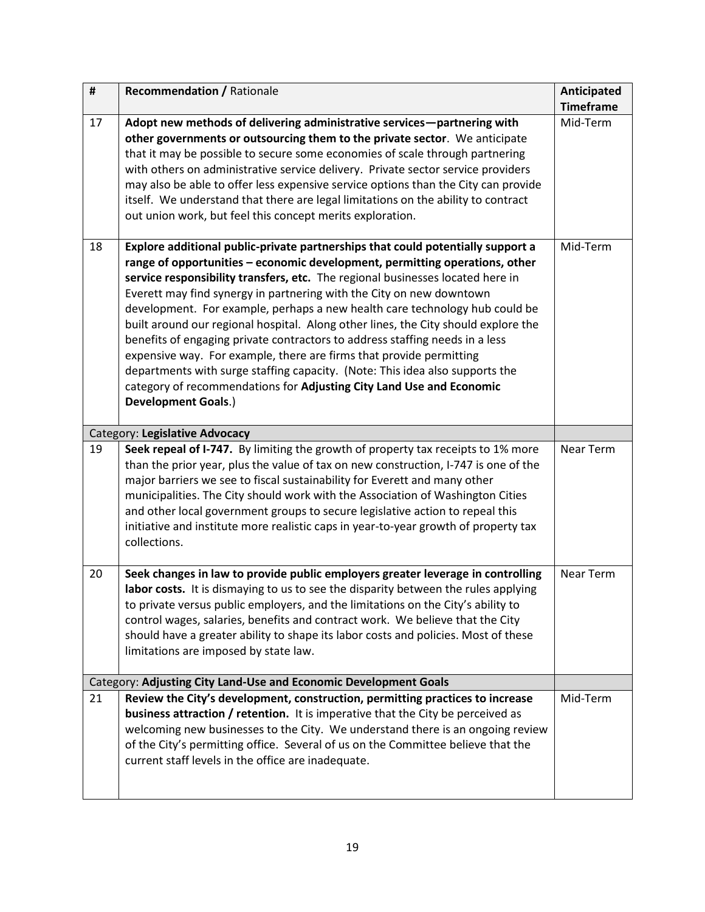| $\pmb{\sharp}$                 | <b>Recommendation / Rationale</b>                                                                                                                                                                                                                                                                                                                                                                                                                                                                                                                                                                                                                                                                                                                                                                                                          | Anticipated      |  |  |  |  |  |
|--------------------------------|--------------------------------------------------------------------------------------------------------------------------------------------------------------------------------------------------------------------------------------------------------------------------------------------------------------------------------------------------------------------------------------------------------------------------------------------------------------------------------------------------------------------------------------------------------------------------------------------------------------------------------------------------------------------------------------------------------------------------------------------------------------------------------------------------------------------------------------------|------------------|--|--|--|--|--|
|                                |                                                                                                                                                                                                                                                                                                                                                                                                                                                                                                                                                                                                                                                                                                                                                                                                                                            | <b>Timeframe</b> |  |  |  |  |  |
| 17                             | Adopt new methods of delivering administrative services-partnering with<br>other governments or outsourcing them to the private sector. We anticipate<br>that it may be possible to secure some economies of scale through partnering<br>with others on administrative service delivery. Private sector service providers<br>may also be able to offer less expensive service options than the City can provide<br>itself. We understand that there are legal limitations on the ability to contract<br>out union work, but feel this concept merits exploration.                                                                                                                                                                                                                                                                          | Mid-Term         |  |  |  |  |  |
| 18                             | Explore additional public-private partnerships that could potentially support a<br>range of opportunities - economic development, permitting operations, other<br>service responsibility transfers, etc. The regional businesses located here in<br>Everett may find synergy in partnering with the City on new downtown<br>development. For example, perhaps a new health care technology hub could be<br>built around our regional hospital. Along other lines, the City should explore the<br>benefits of engaging private contractors to address staffing needs in a less<br>expensive way. For example, there are firms that provide permitting<br>departments with surge staffing capacity. (Note: This idea also supports the<br>category of recommendations for Adjusting City Land Use and Economic<br><b>Development Goals.)</b> | Mid-Term         |  |  |  |  |  |
| Category: Legislative Advocacy |                                                                                                                                                                                                                                                                                                                                                                                                                                                                                                                                                                                                                                                                                                                                                                                                                                            |                  |  |  |  |  |  |
| 19                             | Seek repeal of I-747. By limiting the growth of property tax receipts to 1% more<br>than the prior year, plus the value of tax on new construction, I-747 is one of the<br>major barriers we see to fiscal sustainability for Everett and many other<br>municipalities. The City should work with the Association of Washington Cities<br>and other local government groups to secure legislative action to repeal this<br>initiative and institute more realistic caps in year-to-year growth of property tax<br>collections.                                                                                                                                                                                                                                                                                                             | Near Term        |  |  |  |  |  |
| 20                             | Seek changes in law to provide public employers greater leverage in controlling<br>labor costs. It is dismaying to us to see the disparity between the rules applying<br>to private versus public employers, and the limitations on the City's ability to<br>control wages, salaries, benefits and contract work. We believe that the City<br>should have a greater ability to shape its labor costs and policies. Most of these<br>limitations are imposed by state law.                                                                                                                                                                                                                                                                                                                                                                  | Near Term        |  |  |  |  |  |
|                                | Category: Adjusting City Land-Use and Economic Development Goals                                                                                                                                                                                                                                                                                                                                                                                                                                                                                                                                                                                                                                                                                                                                                                           |                  |  |  |  |  |  |
| 21                             | Review the City's development, construction, permitting practices to increase<br>business attraction / retention. It is imperative that the City be perceived as<br>welcoming new businesses to the City. We understand there is an ongoing review<br>of the City's permitting office. Several of us on the Committee believe that the<br>current staff levels in the office are inadequate.                                                                                                                                                                                                                                                                                                                                                                                                                                               | Mid-Term         |  |  |  |  |  |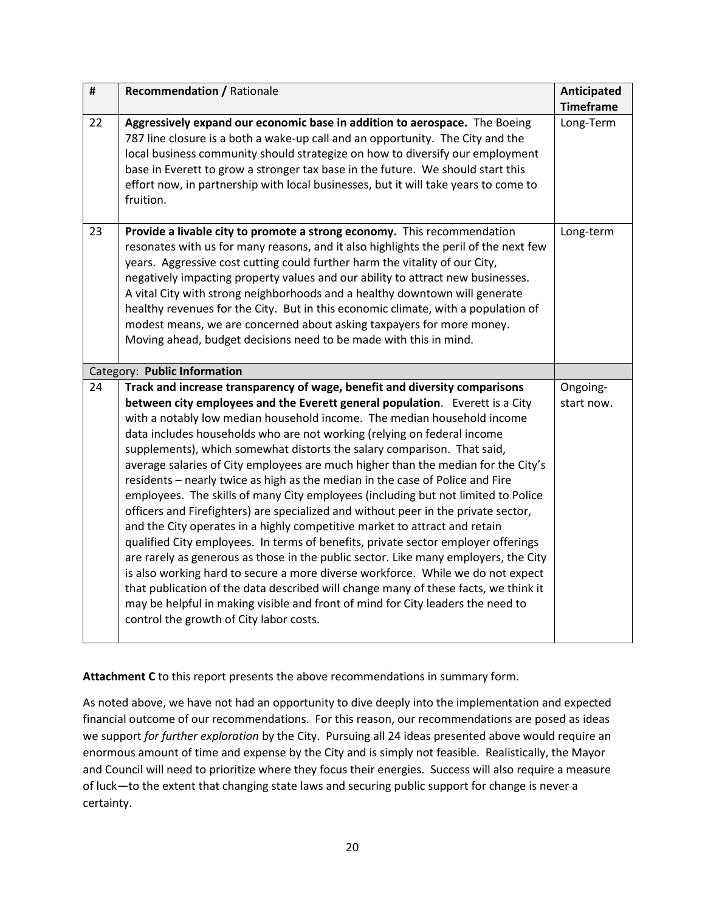| $\pmb{\sharp}$ | <b>Recommendation / Rationale</b>                                                                                                                                                                                                                                                                                                                                                                                                                                                                                                                                                                                                                                                                                                                                                                                                                                                                                                                                                                                                                                                                                                                                                                                                                                                                              | <b>Anticipated</b>     |  |  |  |
|----------------|----------------------------------------------------------------------------------------------------------------------------------------------------------------------------------------------------------------------------------------------------------------------------------------------------------------------------------------------------------------------------------------------------------------------------------------------------------------------------------------------------------------------------------------------------------------------------------------------------------------------------------------------------------------------------------------------------------------------------------------------------------------------------------------------------------------------------------------------------------------------------------------------------------------------------------------------------------------------------------------------------------------------------------------------------------------------------------------------------------------------------------------------------------------------------------------------------------------------------------------------------------------------------------------------------------------|------------------------|--|--|--|
|                |                                                                                                                                                                                                                                                                                                                                                                                                                                                                                                                                                                                                                                                                                                                                                                                                                                                                                                                                                                                                                                                                                                                                                                                                                                                                                                                | <b>Timeframe</b>       |  |  |  |
| 22             | Aggressively expand our economic base in addition to aerospace. The Boeing<br>787 line closure is a both a wake-up call and an opportunity. The City and the<br>local business community should strategize on how to diversify our employment<br>base in Everett to grow a stronger tax base in the future. We should start this<br>effort now, in partnership with local businesses, but it will take years to come to<br>fruition.                                                                                                                                                                                                                                                                                                                                                                                                                                                                                                                                                                                                                                                                                                                                                                                                                                                                           | Long-Term              |  |  |  |
| 23             | Provide a livable city to promote a strong economy. This recommendation<br>resonates with us for many reasons, and it also highlights the peril of the next few<br>years. Aggressive cost cutting could further harm the vitality of our City,<br>negatively impacting property values and our ability to attract new businesses.<br>A vital City with strong neighborhoods and a healthy downtown will generate<br>healthy revenues for the City. But in this economic climate, with a population of<br>modest means, we are concerned about asking taxpayers for more money.<br>Moving ahead, budget decisions need to be made with this in mind.                                                                                                                                                                                                                                                                                                                                                                                                                                                                                                                                                                                                                                                            |                        |  |  |  |
|                | Category: Public Information                                                                                                                                                                                                                                                                                                                                                                                                                                                                                                                                                                                                                                                                                                                                                                                                                                                                                                                                                                                                                                                                                                                                                                                                                                                                                   |                        |  |  |  |
| 24             | Track and increase transparency of wage, benefit and diversity comparisons<br>between city employees and the Everett general population. Everett is a City<br>with a notably low median household income. The median household income<br>data includes households who are not working (relying on federal income<br>supplements), which somewhat distorts the salary comparison. That said,<br>average salaries of City employees are much higher than the median for the City's<br>residents - nearly twice as high as the median in the case of Police and Fire<br>employees. The skills of many City employees (including but not limited to Police<br>officers and Firefighters) are specialized and without peer in the private sector,<br>and the City operates in a highly competitive market to attract and retain<br>qualified City employees. In terms of benefits, private sector employer offerings<br>are rarely as generous as those in the public sector. Like many employers, the City<br>is also working hard to secure a more diverse workforce. While we do not expect<br>that publication of the data described will change many of these facts, we think it<br>may be helpful in making visible and front of mind for City leaders the need to<br>control the growth of City labor costs. | Ongoing-<br>start now. |  |  |  |

**Attachment C** to this report presents the above recommendations in summary form.

As noted above, we have not had an opportunity to dive deeply into the implementation and expected financial outcome of our recommendations. For this reason, our recommendations are posed as ideas we support *for further exploration* by the City. Pursuing all 24 ideas presented above would require an enormous amount of time and expense by the City and is simply not feasible. Realistically, the Mayor and Council will need to prioritize where they focus their energies. Success will also require a measure of luck—to the extent that changing state laws and securing public support for change is never a certainty.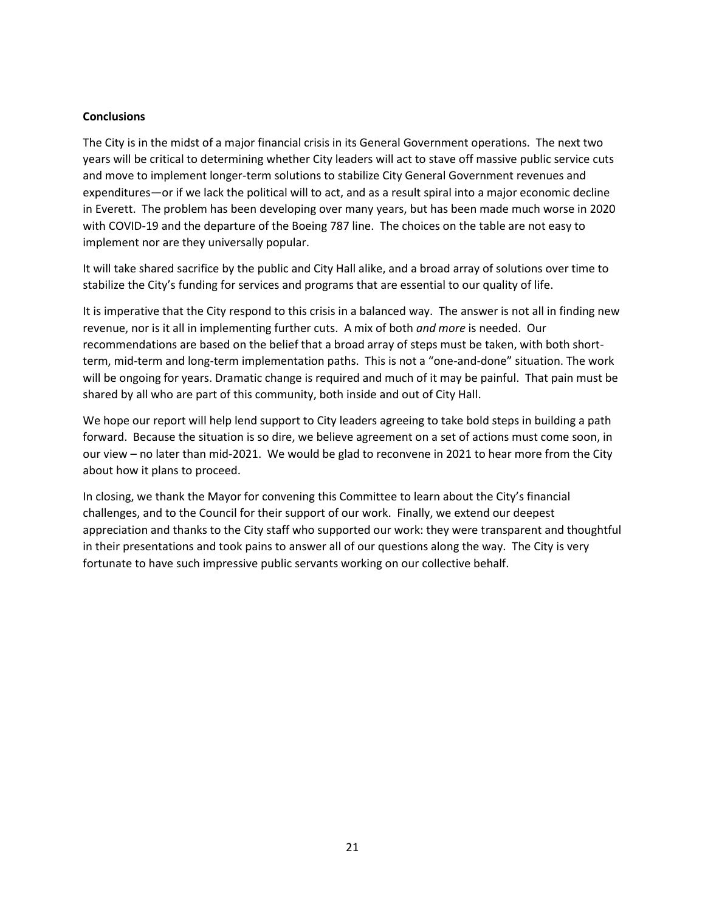#### **Conclusions**

The City is in the midst of a major financial crisis in its General Government operations. The next two years will be critical to determining whether City leaders will act to stave off massive public service cuts and move to implement longer-term solutions to stabilize City General Government revenues and expenditures—or if we lack the political will to act, and as a result spiral into a major economic decline in Everett. The problem has been developing over many years, but has been made much worse in 2020 with COVID-19 and the departure of the Boeing 787 line. The choices on the table are not easy to implement nor are they universally popular.

It will take shared sacrifice by the public and City Hall alike, and a broad array of solutions over time to stabilize the City's funding for services and programs that are essential to our quality of life.

It is imperative that the City respond to this crisis in a balanced way. The answer is not all in finding new revenue, nor is it all in implementing further cuts. A mix of both *and more* is needed. Our recommendations are based on the belief that a broad array of steps must be taken, with both shortterm, mid-term and long-term implementation paths. This is not a "one-and-done" situation. The work will be ongoing for years. Dramatic change is required and much of it may be painful. That pain must be shared by all who are part of this community, both inside and out of City Hall.

We hope our report will help lend support to City leaders agreeing to take bold steps in building a path forward. Because the situation is so dire, we believe agreement on a set of actions must come soon, in our view – no later than mid-2021. We would be glad to reconvene in 2021 to hear more from the City about how it plans to proceed.

In closing, we thank the Mayor for convening this Committee to learn about the City's financial challenges, and to the Council for their support of our work. Finally, we extend our deepest appreciation and thanks to the City staff who supported our work: they were transparent and thoughtful in their presentations and took pains to answer all of our questions along the way. The City is very fortunate to have such impressive public servants working on our collective behalf.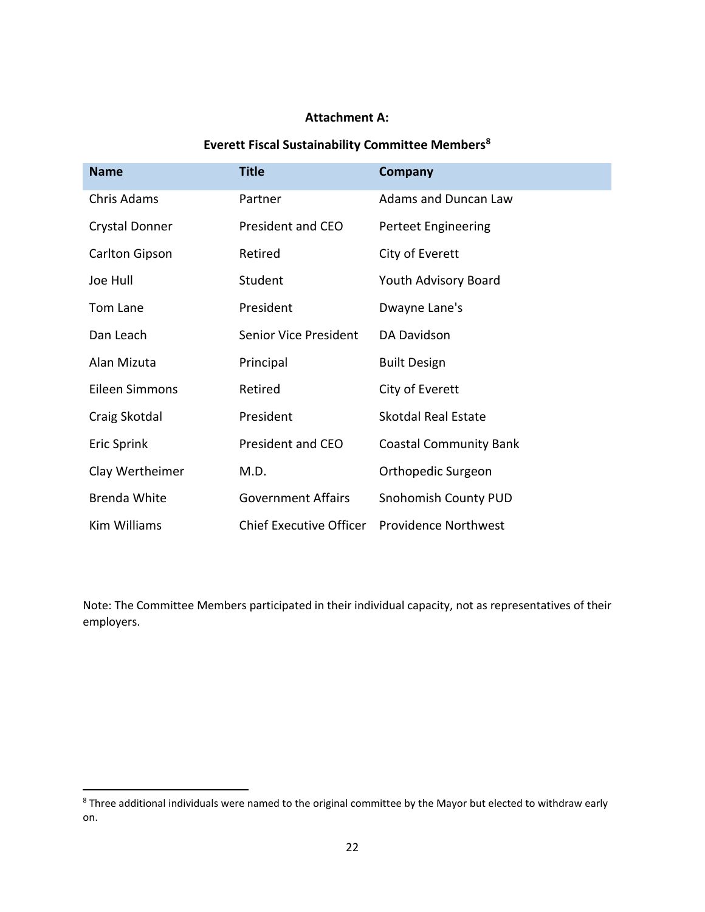## **Attachment A:**

# **Everett Fiscal Sustainability Committee Members<sup>8</sup>**

| <b>Name</b>         | <b>Title</b>                   | <b>Company</b>                |
|---------------------|--------------------------------|-------------------------------|
| Chris Adams         | Partner                        | <b>Adams and Duncan Law</b>   |
| Crystal Donner      | President and CEO              | Perteet Engineering           |
| Carlton Gipson      | Retired                        | City of Everett               |
| Joe Hull            | Student                        | Youth Advisory Board          |
| Tom Lane            | President                      | Dwayne Lane's                 |
| Dan Leach           | Senior Vice President          | DA Davidson                   |
| Alan Mizuta         | Principal                      | <b>Built Design</b>           |
| Eileen Simmons      | Retired                        | City of Everett               |
| Craig Skotdal       | President                      | <b>Skotdal Real Estate</b>    |
| Eric Sprink         | President and CEO              | <b>Coastal Community Bank</b> |
| Clay Wertheimer     | M.D.                           | Orthopedic Surgeon            |
| <b>Brenda White</b> | <b>Government Affairs</b>      | Snohomish County PUD          |
| Kim Williams        | <b>Chief Executive Officer</b> | <b>Providence Northwest</b>   |

Note: The Committee Members participated in their individual capacity, not as representatives of their employers.

 $\overline{\phantom{a}}$ 

<sup>8</sup> Three additional individuals were named to the original committee by the Mayor but elected to withdraw early on.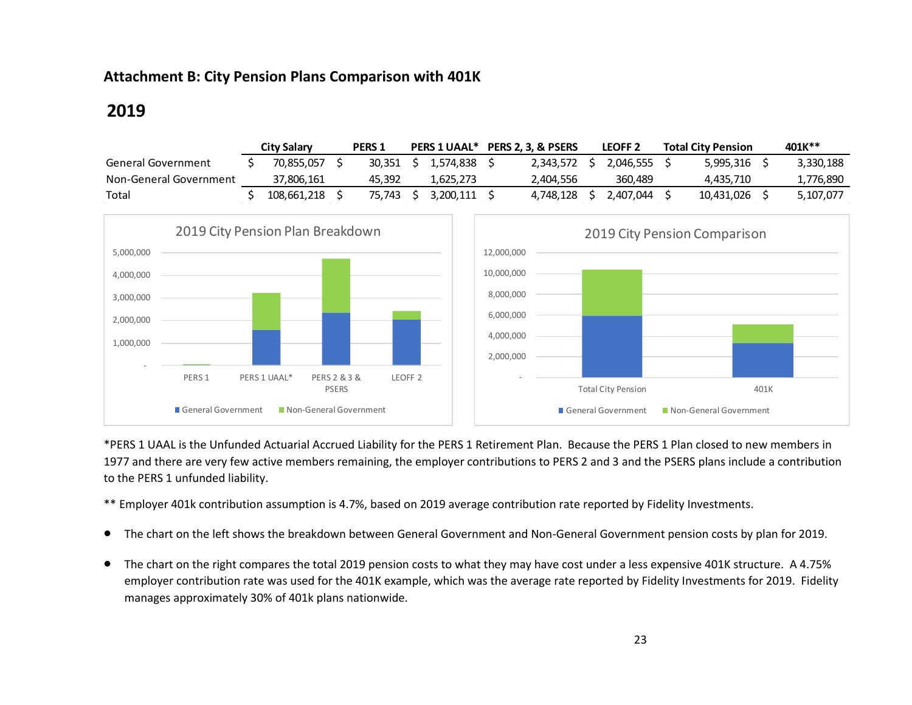## **Attachment B: City Pension Plans Comparison with 401K**

# **2019**

|                        | <b>City Salary</b> | <b>PERS1</b> | <b>PERS 1 UAAL*</b> | <b>PERS 2. 3. &amp; PSERS</b> | LEOFF <sub>2</sub> | <b>Total City Pension</b> | 401K**    |
|------------------------|--------------------|--------------|---------------------|-------------------------------|--------------------|---------------------------|-----------|
| General Government     | 70.855.057         | 30.351       | 1.574.838           | 2.343.572                     | 2.046.555 S        | 5.995.316                 | 3,330,188 |
| Non-General Government | 37,806,161         | 45.392       | 1.625.273           | 2.404.556                     | 360,489            | 4.435.710                 | 1,776,890 |
| Total                  | 108.661.218        | 75.743       | 3.200.111           | 4.748.128                     | 2.407.044          | 10.431.026                | 5.107.077 |



\*PERS 1 UAAL is the Unfunded Actuarial Accrued Liability for the PERS 1 Retirement Plan. Because the PERS 1 Plan closed to new members in 1977 and there are very few active members remaining, the employer contributions to PERS 2 and 3 and the PSERS plans include a contribution to the PERS 1 unfunded liability.

\*\* Employer 401k contribution assumption is 4.7%, based on 2019 average contribution rate reported by Fidelity Investments.

- The chart on the left shows the breakdown between General Government and Non-General Government pension costs by plan for 2019.
- The chart on the right compares the total 2019 pension costs to what they may have cost under a less expensive 401K structure. A 4.75% employer contribution rate was used for the 401K example, which was the average rate reported by Fidelity Investments for 2019. Fidelity manages approximately 30% of 401k plans nationwide.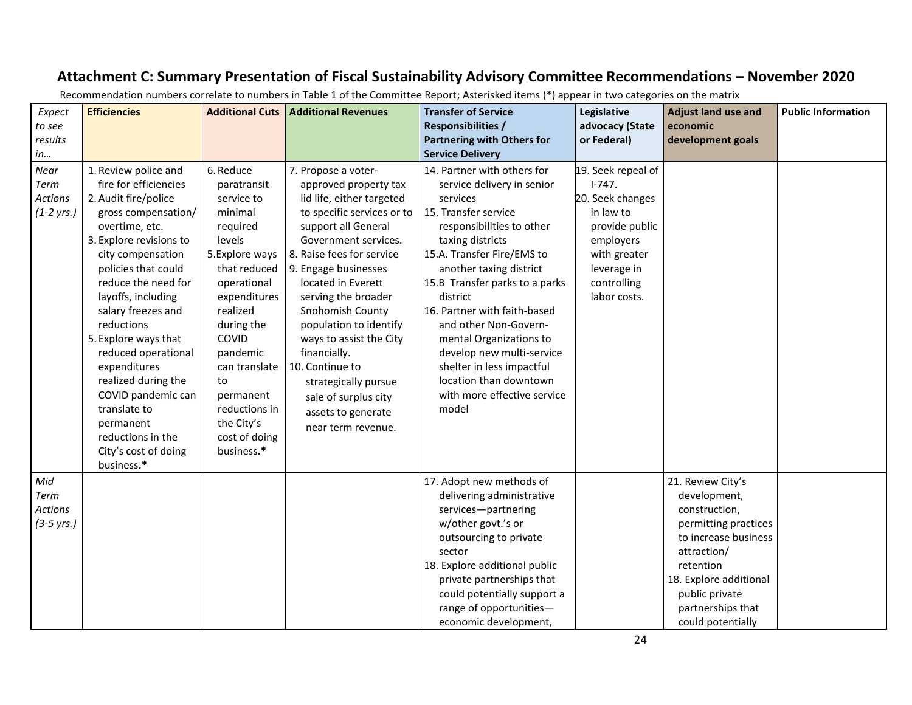# **Attachment C: Summary Presentation of Fiscal Sustainability Advisory Committee Recommendations – November 2020**

| Expect<br>to see<br>results<br>in          | <b>Efficiencies</b>                                                                                                                                                                                                                                                                                                                                                                                                                                                        | <b>Additional Cuts</b>                                                                                                                                                                                                                                                                    | <b>Additional Revenues</b>                                                                                                                                                                                                                                                                                                                                                                                                                                       | <b>Transfer of Service</b><br><b>Responsibilities /</b><br><b>Partnering with Others for</b><br><b>Service Delivery</b>                                                                                                                                                                                                                                                                                                                                               | Legislative<br>advocacy (State<br>or Federal)                                                                                                                | <b>Adjust land use and</b><br>economic<br>development goals                                                                                                                                                          | <b>Public Information</b> |
|--------------------------------------------|----------------------------------------------------------------------------------------------------------------------------------------------------------------------------------------------------------------------------------------------------------------------------------------------------------------------------------------------------------------------------------------------------------------------------------------------------------------------------|-------------------------------------------------------------------------------------------------------------------------------------------------------------------------------------------------------------------------------------------------------------------------------------------|------------------------------------------------------------------------------------------------------------------------------------------------------------------------------------------------------------------------------------------------------------------------------------------------------------------------------------------------------------------------------------------------------------------------------------------------------------------|-----------------------------------------------------------------------------------------------------------------------------------------------------------------------------------------------------------------------------------------------------------------------------------------------------------------------------------------------------------------------------------------------------------------------------------------------------------------------|--------------------------------------------------------------------------------------------------------------------------------------------------------------|----------------------------------------------------------------------------------------------------------------------------------------------------------------------------------------------------------------------|---------------------------|
| Near<br>Term<br>Actions<br>$(1-2 \, yrs.)$ | 1. Review police and<br>fire for efficiencies<br>2. Audit fire/police<br>gross compensation/<br>overtime, etc.<br>3. Explore revisions to<br>city compensation<br>policies that could<br>reduce the need for<br>layoffs, including<br>salary freezes and<br>reductions<br>5. Explore ways that<br>reduced operational<br>expenditures<br>realized during the<br>COVID pandemic can<br>translate to<br>permanent<br>reductions in the<br>City's cost of doing<br>business.* | 6. Reduce<br>paratransit<br>service to<br>minimal<br>required<br>levels<br>5.Explore ways<br>that reduced<br>operational<br>expenditures<br>realized<br>during the<br>COVID<br>pandemic<br>can translate<br>to<br>permanent<br>reductions in<br>the City's<br>cost of doing<br>business.* | 7. Propose a voter-<br>approved property tax<br>lid life, either targeted<br>to specific services or to<br>support all General<br>Government services.<br>8. Raise fees for service<br>9. Engage businesses<br>located in Everett<br>serving the broader<br>Snohomish County<br>population to identify<br>ways to assist the City<br>financially.<br>10. Continue to<br>strategically pursue<br>sale of surplus city<br>assets to generate<br>near term revenue. | 14. Partner with others for<br>service delivery in senior<br>services<br>15. Transfer service<br>responsibilities to other<br>taxing districts<br>15.A. Transfer Fire/EMS to<br>another taxing district<br>15.B Transfer parks to a parks<br>district<br>16. Partner with faith-based<br>and other Non-Govern-<br>mental Organizations to<br>develop new multi-service<br>shelter in less impactful<br>location than downtown<br>with more effective service<br>model | 19. Seek repeal of<br>$1-747.$<br>20. Seek changes<br>in law to<br>provide public<br>employers<br>with greater<br>leverage in<br>controlling<br>labor costs. |                                                                                                                                                                                                                      |                           |
| Mid<br>Term<br>Actions<br>$(3-5 \, yrs.)$  |                                                                                                                                                                                                                                                                                                                                                                                                                                                                            |                                                                                                                                                                                                                                                                                           |                                                                                                                                                                                                                                                                                                                                                                                                                                                                  | 17. Adopt new methods of<br>delivering administrative<br>services-partnering<br>w/other govt.'s or<br>outsourcing to private<br>sector<br>18. Explore additional public<br>private partnerships that<br>could potentially support a<br>range of opportunities-<br>economic development,                                                                                                                                                                               |                                                                                                                                                              | 21. Review City's<br>development,<br>construction,<br>permitting practices<br>to increase business<br>attraction/<br>retention<br>18. Explore additional<br>public private<br>partnerships that<br>could potentially |                           |

Recommendation numbers correlate to numbers in Table 1 of the Committee Report; Asterisked items (\*) appear in two categories on the matrix